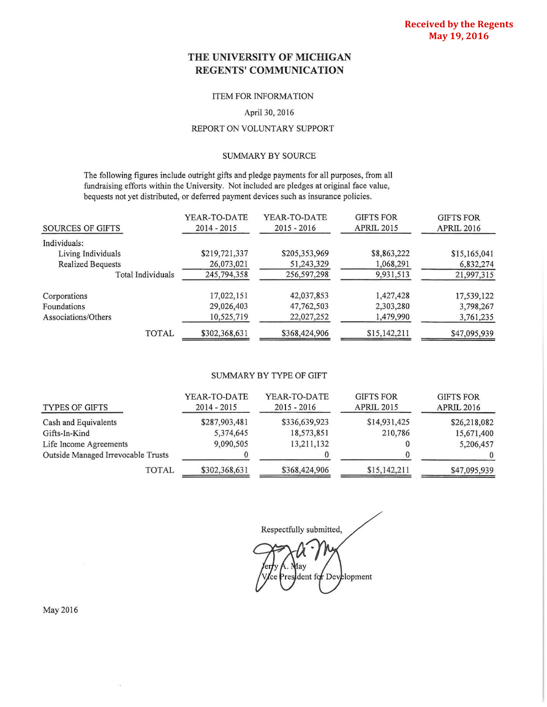## **THE UNIVERSITY OF MICHIGAN REGENTS' COMMUNICATION**

## ITEM FOR INFORMATION

### April 30, 2016

## REPORT ON VOLUNTARY SUPPORT

### SUMMARY BY SOURCE

The following figures include outright gifts and pledge payments for all purposes, from all fundraising efforts within the University. Not included are pledges at original face value, bequests not yet distributed, or deferred payment devices such as insurance policies.

| <b>SOURCES OF GIFTS</b>  | YEAR-TO-DATE<br>$2014 - 2015$ | YEAR-TO-DATE<br>$2015 - 2016$ | <b>GIFTS FOR</b><br><b>APRIL 2015</b> | <b>GIFTS FOR</b><br><b>APRIL 2016</b> |
|--------------------------|-------------------------------|-------------------------------|---------------------------------------|---------------------------------------|
| Individuals:             |                               |                               |                                       |                                       |
| Living Individuals       | \$219,721,337                 | \$205,353,969                 | \$8,863,222                           | \$15,165,041                          |
| <b>Realized Bequests</b> | 26,073,021                    | 51,243,329                    | 1,068,291                             | 6,832,274                             |
| Total Individuals        | 245,794,358                   | 256,597,298                   | 9,931,513                             | 21,997,315                            |
| Corporations             | 17,022,151                    | 42,037,853                    | 1,427,428                             | 17,539,122                            |
| Foundations              | 29,026,403                    | 47,762,503                    | 2,303,280                             | 3,798,267                             |
| Associations/Others      | 10,525,719                    | 22,027,252                    | 1,479,990                             | 3,761,235                             |
| <b>TOTAL</b>             | \$302,368,631                 | \$368,424,906                 | \$15,142,211                          | \$47,095,939                          |

### SUMMARY BY TYPE OF GIFT

| <b>TYPES OF GIFTS</b>              | YEAR-TO-DATE<br>$2014 - 2015$ | YEAR-TO-DATE<br>$2015 - 2016$ | <b>GIFTS FOR</b><br><b>APRIL 2015</b> | <b>GIFTS FOR</b><br><b>APRIL 2016</b> |
|------------------------------------|-------------------------------|-------------------------------|---------------------------------------|---------------------------------------|
| Cash and Equivalents               | \$287,903,481                 | \$336,639,923                 | \$14,931,425                          | \$26,218,082                          |
| Gifts-In-Kind                      | 5,374,645                     | 18,573,851                    | 210,786                               | 15,671,400                            |
| Life Income Agreements             | 9,090,505                     | 13,211,132                    |                                       | 5,206,457                             |
| Outside Managed Irrevocable Trusts |                               |                               |                                       | $\Omega$                              |
| TOTAL                              | \$302,368,631                 | \$368,424,906                 | \$15,142,211                          | \$47,095,939                          |

Respectfully submitted, lav dent for Development

May 2016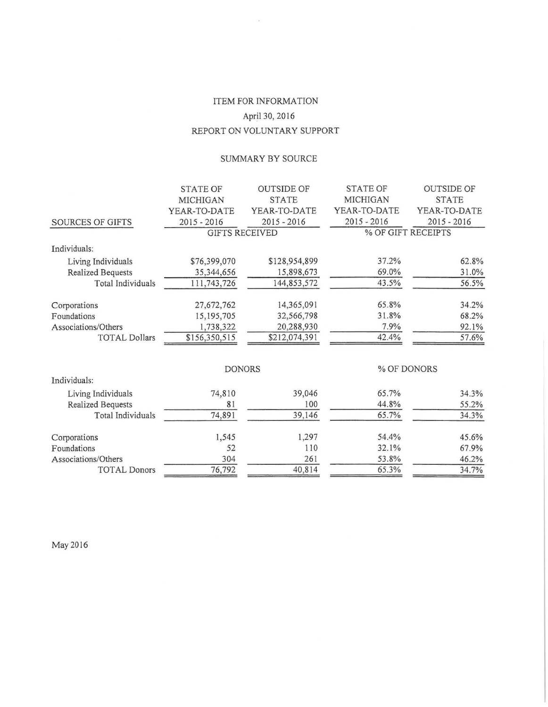# ITEM FOR INFORMATION April30, 2016 REPORT ON VOLUNTARY SUPPORT

 $\bar{\kappa}$ 

## SUMMARY BY SOURCE

|                          | <b>STATE OF</b>       | <b>OUTSIDE OF</b> | <b>STATE OF</b> | <b>OUTSIDE OF</b>  |  |  |  |  |
|--------------------------|-----------------------|-------------------|-----------------|--------------------|--|--|--|--|
|                          | MICHIGAN              | <b>STATE</b>      | MICHIGAN        | <b>STATE</b>       |  |  |  |  |
|                          | YEAR-TO-DATE          | YEAR-TO-DATE      | YEAR-TO-DATE    | YEAR-TO-DATE       |  |  |  |  |
| <b>SOURCES OF GIFTS</b>  | $2015 - 2016$         | $2015 - 2016$     | $2015 - 2016$   | $2015 - 2016$      |  |  |  |  |
|                          | <b>GIFTS RECEIVED</b> |                   |                 | % OF GIFT RECEIPTS |  |  |  |  |
| Individuals:             |                       |                   |                 |                    |  |  |  |  |
| Living Individuals       | \$76,399,070          | \$128,954,899     | 37.2%           | 62.8%              |  |  |  |  |
| <b>Realized Bequests</b> | 35,344,656            | 15,898,673        | 69.0%           | 31.0%              |  |  |  |  |
| Total Individuals        | 111,743,726           | 144,853,572       | 43.5%           | 56.5%              |  |  |  |  |
| Corporations             | 27,672,762            | 14,365,091        | 65.8%           | 34.2%              |  |  |  |  |
| Foundations              | 15,195,705            | 32,566,798        | 31.8%           | 68.2%              |  |  |  |  |
| Associations/Others      | 1,738,322             | 20,288,930        | 7.9%            | 92.1%              |  |  |  |  |
| <b>TOTAL Dollars</b>     | \$156,350,515         | \$212,074,391     | 42.4%           | 57.6%              |  |  |  |  |
|                          | <b>DONORS</b>         |                   |                 | % OF DONORS        |  |  |  |  |
| Individuals:             |                       |                   |                 |                    |  |  |  |  |
| Living Individuals       | 74,810                | 39,046            | 65.7%           | 34.3%              |  |  |  |  |
| Realized Bequests        | 81                    | 100               | 44.8%           | 55.2%              |  |  |  |  |
| Total Individuals        | 74,891                | 39,146            | 65.7%           | 34.3%              |  |  |  |  |
| Corporations             | 1,545                 | 1,297             | 54.4%           | 45.6%              |  |  |  |  |
| Foundations              | 52                    | 110               | 32.1%           | 67.9%              |  |  |  |  |
| Associations/Others      | 304                   | 261               | 53.8%           | 46.2%              |  |  |  |  |
| <b>TOTAL Donors</b>      | 76,792                | 40,814            | 65.3%           | 34.7%              |  |  |  |  |

May 2016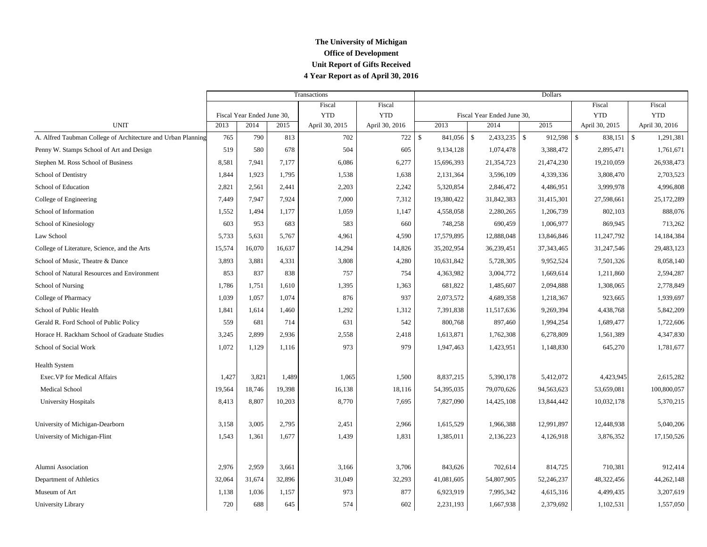## **The University of Michigan Office of Development Unit Report of Gifts Received 4 Year Report as of April 30, 2016**

|                                                              |        |                            |        | Transactions   |                | Dollars                 |                            |              |                               |                                 |  |  |
|--------------------------------------------------------------|--------|----------------------------|--------|----------------|----------------|-------------------------|----------------------------|--------------|-------------------------------|---------------------------------|--|--|
|                                                              |        |                            |        | Fiscal         | Fiscal         |                         |                            |              | Fiscal                        | Fiscal                          |  |  |
|                                                              |        | Fiscal Year Ended June 30, |        | <b>YTD</b>     | <b>YTD</b>     |                         | Fiscal Year Ended June 30, |              | <b>YTD</b>                    | <b>YTD</b>                      |  |  |
| <b>UNIT</b>                                                  | 2013   | 2014                       | 2015   | April 30, 2015 | April 30, 2016 | 2013                    | 2014                       | 2015         | April 30, 2015                | April 30, 2016                  |  |  |
| A. Alfred Taubman College of Architecture and Urban Planning | 765    | 790                        | 813    | 702            | 722            | $\mathbb{S}$<br>841,056 | $\mathcal{S}$              | 912,598      | $\mathbf{\hat{S}}$<br>838,151 | $\mathbf{\hat{s}}$<br>1,291,381 |  |  |
| Penny W. Stamps School of Art and Design                     | 519    | 580                        | 678    | 504            | 605            | 9,134,128               | 1,074,478                  | 3,388,472    | 2,895,471                     | 1,761,671                       |  |  |
| Stephen M. Ross School of Business                           | 8,581  | 7,941                      | 7,177  | 6,086          | 6,277          | 15,696,393              | 21,354,723                 | 21,474,230   | 19,210,059                    | 26,938,473                      |  |  |
| School of Dentistry                                          | 1,844  | 1,923                      | 1,795  | 1,538          | 1,638          | 2,131,364               | 3,596,109                  | 4,339,336    | 3,808,470                     | 2,703,523                       |  |  |
| School of Education                                          | 2,821  | 2,561                      | 2,441  | 2,203          | 2,242          | 5,320,854               | 2,846,472                  | 4,486,951    | 3,999,978                     | 4,996,808                       |  |  |
| College of Engineering                                       | 7,449  | 7,947                      | 7,924  | 7,000          | 7,312          | 19,380,422              | 31,842,383                 | 31,415,301   | 27,598,661                    | 25,172,289                      |  |  |
| School of Information                                        | 1,552  | 1,494                      | 1,177  | 1,059          | 1,147          | 4,558,058               | 2,280,265                  | 1,206,739    | 802,103                       | 888,076                         |  |  |
| School of Kinesiology                                        | 603    | 953                        | 683    | 583            | 660            | 748,258                 | 690,459                    | 1,006,977    | 869,945                       | 713,262                         |  |  |
| Law School                                                   | 5,733  | 5,631                      | 5,767  | 4,961          | 4,590          | 17,579,895              | 12,888,048                 | 13,846,846   | 11,247,792                    | 14,184,384                      |  |  |
| College of Literature, Science, and the Arts                 | 15,574 | 16,070                     | 16,637 | 14,294         | 14,826         | 35,202,954              | 36,239,451                 | 37, 343, 465 | 31,247,546                    | 29,483,123                      |  |  |
| School of Music, Theatre & Dance                             | 3,893  | 3,881                      | 4,331  | 3,808          | 4,280          | 10,631,842              | 5,728,305                  | 9,952,524    | 7,501,326                     | 8,058,140                       |  |  |
| School of Natural Resources and Environment                  | 853    | 837                        | 838    | 757            | 754            | 4,363,982               | 3,004,772                  | 1,669,614    | 1,211,860                     | 2,594,287                       |  |  |
| School of Nursing                                            | 1,786  | 1,751                      | 1,610  | 1,395          | 1,363          | 681,822                 | 1,485,607                  | 2,094,888    | 1,308,065                     | 2,778,849                       |  |  |
| College of Pharmacy                                          | 1,039  | 1,057                      | 1.074  | 876            | 937            | 2,073,572               | 4,689,358                  | 1,218,367    | 923,665                       | 1,939,697                       |  |  |
| School of Public Health                                      | 1,841  | 1,614                      | 1,460  | 1,292          | 1,312          | 7,391,838               | 11,517,636                 | 9,269,394    | 4,438,768                     | 5,842,209                       |  |  |
| Gerald R. Ford School of Public Policy                       | 559    | 681                        | 714    | 631            | 542            | 800,768                 | 897,460                    | 1,994,254    | 1,689,477                     | 1,722,606                       |  |  |
| Horace H. Rackham School of Graduate Studies                 | 3,245  | 2,899                      | 2,936  | 2,558          | 2,418          | 1,613,871               | 1,762,308                  | 6,278,809    | 1,561,389                     | 4,347,830                       |  |  |
| School of Social Work                                        | 1,072  | 1,129                      | 1,116  | 973            | 979            | 1,947,463               | 1,423,951                  | 1,148,830    | 645,270                       | 1,781,677                       |  |  |
| <b>Health System</b>                                         |        |                            |        |                |                |                         |                            |              |                               |                                 |  |  |
| Exec. VP for Medical Affairs                                 | 1,427  | 3,821                      | 1,489  | 1,065          | 1,500          | 8,837,215               | 5,390,178                  | 5,412,072    | 4,423,945                     | 2,615,282                       |  |  |
| Medical School                                               | 19,564 | 18,746                     | 19,398 | 16,138         | 18,116         | 54,395,035              | 79,070,626                 | 94,563,623   | 53,659,081                    | 100,800,057                     |  |  |
| <b>University Hospitals</b>                                  | 8,413  | 8,807                      | 10,203 | 8,770          | 7,695          | 7,827,090               | 14,425,108                 | 13,844,442   | 10,032,178                    | 5,370,215                       |  |  |
| University of Michigan-Dearborn                              | 3,158  | 3,005                      | 2,795  | 2,451          | 2,966          | 1,615,529               | 1,966,388                  | 12,991,897   | 12,448,938                    | 5,040,206                       |  |  |
| University of Michigan-Flint                                 | 1,543  | 1,361                      | 1,677  | 1,439          | 1,831          | 1,385,011               | 2,136,223                  | 4,126,918    | 3,876,352                     | 17,150,526                      |  |  |
|                                                              |        |                            |        |                |                |                         |                            |              |                               |                                 |  |  |
| Alumni Association                                           | 2,976  | 2,959                      | 3,661  | 3,166          | 3,706          | 843,626                 | 702,614                    | 814,725      | 710,381                       | 912,414                         |  |  |
| Department of Athletics                                      | 32,064 | 31,674                     | 32,896 | 31,049         | 32,293         | 41,081,605              | 54,807,905                 | 52,246,237   | 48,322,456                    | 44,262,148                      |  |  |
| Museum of Art                                                | 1,138  | 1,036                      | 1,157  | 973            | 877            | 6,923,919               | 7,995,342                  | 4,615,316    | 4,499,435                     | 3,207,619                       |  |  |
| University Library                                           | 720    | 688                        | 645    | 574            | 602            | 2,231,193               | 1,667,938                  | 2,379,692    | 1,102,531                     | 1,557,050                       |  |  |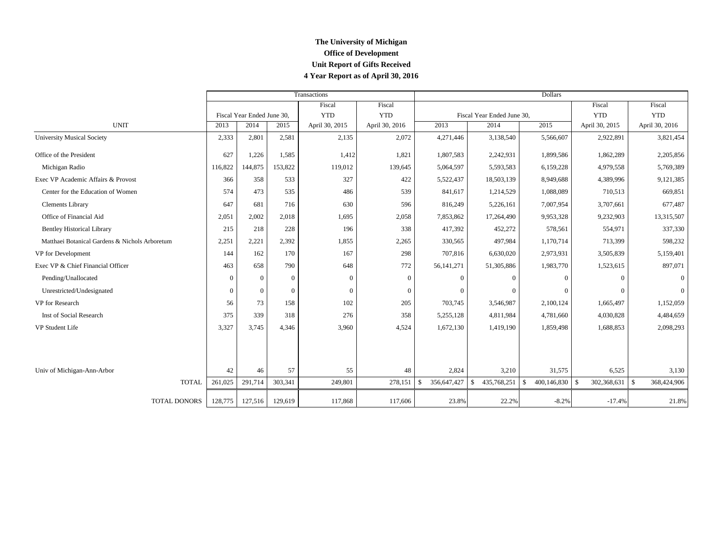## **The University of Michigan Office of Development Unit Report of Gifts Received 4 Year Report as of April 30, 2016**

|                                                |          |                            |          | Transactions   |                | Dollars                           |                                   |                    |                |                |  |  |
|------------------------------------------------|----------|----------------------------|----------|----------------|----------------|-----------------------------------|-----------------------------------|--------------------|----------------|----------------|--|--|
|                                                |          |                            |          | Fiscal         | Fiscal         |                                   |                                   |                    | Fiscal         | Fiscal         |  |  |
|                                                |          | Fiscal Year Ended June 30, |          | <b>YTD</b>     | <b>YTD</b>     |                                   | Fiscal Year Ended June 30,        |                    | <b>YTD</b>     | <b>YTD</b>     |  |  |
| <b>UNIT</b>                                    | 2013     | 2014                       | 2015     | April 30, 2015 | April 30, 2016 | 2013                              | 2014                              | 2015               | April 30, 2015 | April 30, 2016 |  |  |
| <b>University Musical Society</b>              | 2,333    | 2,801                      | 2,581    | 2,135          | 2,072          | 4,271,446                         | 3,138,540                         | 5,566,607          | 2,922,891      | 3,821,454      |  |  |
| Office of the President                        | 627      | 1,226                      | 1,585    | 1,412          | 1,821          | 1,807,583                         | 2,242,931                         | 1,899,586          | 1,862,289      | 2,205,856      |  |  |
| Michigan Radio                                 | 116,822  | 144,875                    | 153,822  | 119,012        | 139,645        | 5,064,597                         | 5,593,583                         | 6,159,228          | 4,979,558      | 5,769,389      |  |  |
| Exec VP Academic Affairs & Provost             | 366      | 358                        | 533      | 327            | 422            | 5,522,437                         | 18,503,139                        | 8,949,688          | 4,389,996      | 9,121,385      |  |  |
| Center for the Education of Women              | 574      | 473                        | 535      | 486            | 539            | 841,617                           | 1,214,529                         | 1,088,089          | 710,513        | 669,851        |  |  |
| Clements Library                               | 647      | 681                        | 716      | 630            | 596            | 816,249                           | 5,226,161                         | 7,007,954          | 3,707,661      | 677,487        |  |  |
| Office of Financial Aid                        | 2,051    | 2,002                      | 2,018    | 1,695          | 2,058          | 7,853,862                         | 17,264,490                        | 9,953,328          | 9,232,903      | 13,315,507     |  |  |
| <b>Bentley Historical Library</b>              | 215      | 218                        | 228      | 196            | 338            | 417,392                           | 452,272                           | 578,561            | 554,971        | 337,330        |  |  |
| Matthaei Botanical Gardens & Nichols Arboretum | 2,251    | 2,221                      | 2,392    | 1,855          | 2,265          | 330,565                           | 497,984                           | 1,170,714          | 713,399        | 598,232        |  |  |
| VP for Development                             | 144      | 162                        | 170      | 167            | 298            | 707,816                           | 6,630,020                         | 2,973,931          | 3,505,839      | 5,159,401      |  |  |
| Exec VP & Chief Financial Officer              | 463      | 658                        | 790      | 648            | 772            | 56, 141, 271                      | 51,305,886                        | 1,983,770          | 1,523,615      | 897,071        |  |  |
| Pending/Unallocated                            | $\Omega$ | $\overline{0}$             | $\Omega$ | $\Omega$       | $\Omega$       | $\Omega$                          |                                   | $\Omega$           | $\Omega$       | $\Omega$       |  |  |
| Unrestricted/Undesignated                      | $\Omega$ | $\overline{0}$             | $\Omega$ | $\Omega$       | $\Omega$       | 0                                 |                                   | $\Omega$           |                |                |  |  |
| VP for Research                                | 56       | 73                         | 158      | 102            | 205            | 703,745                           | 3,546,987                         | 2,100,124          | 1,665,497      | 1,152,059      |  |  |
| Inst of Social Research                        | 375      | 339                        | 318      | 276            | 358            | 5,255,128                         | 4,811,984                         | 4,781,660          | 4,030,828      | 4,484,659      |  |  |
| VP Student Life                                | 3,327    | 3,745                      | 4.346    | 3,960          | 4,524          | 1,672,130                         | 1,419,190                         | 1,859,498          | 1,688,853      | 2,098,293      |  |  |
| Univ of Michigan-Ann-Arbor                     | 42       | 46                         | 57       | 55             | 48             | 2,824                             | 3,210                             | 31,575             | 6,525          | 3,130          |  |  |
| <b>TOTAL</b>                                   | 261,025  | 291,714                    | 303,341  | 249,801        | 278,151        | 356,647,427<br>$\mathbf{\hat{S}}$ | 435,768,251<br>$\mathbf{\hat{S}}$ | 400,146,830<br>\$. | \$             | 368,424,906    |  |  |
| TOTAL DONORS                                   | 128,775  | 127,516                    | 129,619  | 117,868        | 117,606        | 23.8%                             | 22.2%                             | $-8.2%$            | $-17.4%$       | 21.8%          |  |  |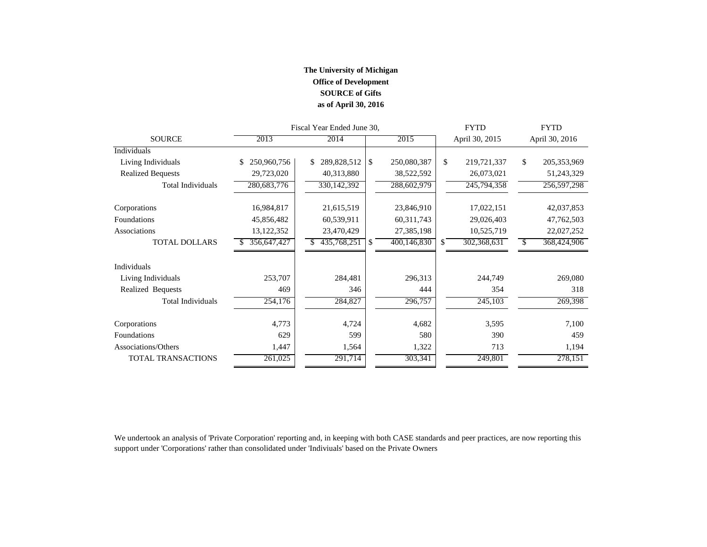## **The University of Michigan Office of Development SOURCE of Gifts as of April 30, 2016**

|                          |                   | Fiscal Year Ended June 30, |               | <b>FYTD</b> | <b>FYTD</b>  |                |               |                |
|--------------------------|-------------------|----------------------------|---------------|-------------|--------------|----------------|---------------|----------------|
| <b>SOURCE</b>            | 2013              | 2014                       |               | 2015        |              | April 30, 2015 |               | April 30, 2016 |
| Individuals              |                   |                            |               |             |              |                |               |                |
| Living Individuals       | 250,960,756<br>\$ | 289,828,512<br>\$.         | <b>S</b>      | 250,080,387 | \$           | 219,721,337    | \$            | 205, 353, 969  |
| <b>Realized Bequests</b> | 29,723,020        | 40,313,880                 |               | 38,522,592  |              | 26,073,021     |               | 51,243,329     |
| <b>Total Individuals</b> | 280,683,776       | 330, 142, 392              |               | 288,602,979 |              | 245,794,358    |               | 256,597,298    |
| Corporations             | 16,984,817        | 21,615,519                 |               | 23,846,910  |              | 17,022,151     |               | 42,037,853     |
| Foundations              | 45,856,482        | 60,539,911                 |               | 60,311,743  |              | 29,026,403     |               | 47,762,503     |
| Associations             | 13,122,352        | 23,470,429                 |               | 27,385,198  |              | 10,525,719     |               | 22,027,252     |
| <b>TOTAL DOLLARS</b>     | 356,647,427       | 435,768,251                | <sup>\$</sup> | 400,146,830 | $\mathbb{S}$ | 302,368,631    | <sup>\$</sup> | 368,424,906    |
| <b>Individuals</b>       |                   |                            |               |             |              |                |               |                |
| Living Individuals       | 253,707           | 284,481                    |               | 296,313     |              | 244,749        |               | 269,080        |
| Realized Bequests        | 469               | 346                        |               | 444         |              | 354            |               | 318            |
| <b>Total Individuals</b> | 254,176           | 284,827                    |               | 296,757     |              | 245,103        |               | 269,398        |
| Corporations             | 4,773             | 4,724                      |               | 4,682       |              | 3,595          |               | 7,100          |
| Foundations              | 629               | 599                        |               | 580         |              | 390            |               | 459            |
| Associations/Others      | 1,447             | 1,564                      |               | 1,322       |              | 713            |               | 1,194          |
| TOTAL TRANSACTIONS       | 261,025           | 291,714                    |               | 303,341     |              | 249,801        |               | 278,151        |

We undertook an analysis of 'Private Corporation' reporting and, in keeping with both CASE standards and peer practices, are now reporting this support under 'Corporations' rather than consolidated under 'Indiviuals' based on the Private Owners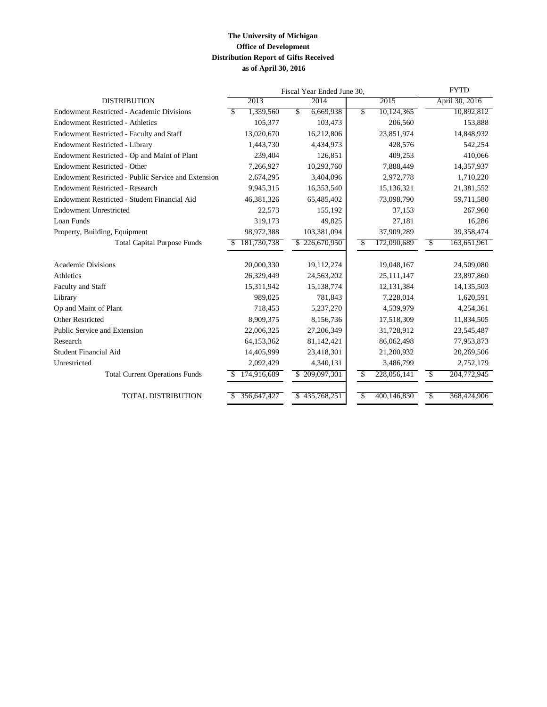## **The University of Michigan Office of Development Distribution Report of Gifts Received as of April 30, 2016**

|                                                     | Fiscal Year Ended June 30, | <b>FYTD</b>       |                                     |                   |
|-----------------------------------------------------|----------------------------|-------------------|-------------------------------------|-------------------|
| <b>DISTRIBUTION</b>                                 | 2013                       | 2014              | 2015                                | April 30, 2016    |
| <b>Endowment Restricted - Academic Divisions</b>    | 1,339,560<br>-\$           | \$<br>6,669,938   | \$<br>10,124,365                    | 10,892,812        |
| <b>Endowment Restricted - Athletics</b>             | 105,377                    | 103,473           | 206,560                             | 153,888           |
| Endowment Restricted - Faculty and Staff            | 13,020,670                 | 16,212,806        | 23,851,974                          | 14,848,932        |
| Endowment Restricted - Library                      | 1,443,730                  | 4,434,973         | 428,576                             | 542,254           |
| Endowment Restricted - Op and Maint of Plant        | 239,404                    | 126,851           | 409,253                             | 410,066           |
| Endowment Restricted - Other                        | 7,266,927                  | 10,293,760        | 7,888,449                           | 14,357,937        |
| Endowment Restricted - Public Service and Extension | 2,674,295                  | 3,404,096         | 2,972,778                           | 1,710,220         |
| <b>Endowment Restricted - Research</b>              | 9,945,315                  | 16,353,540        | 15,136,321                          | 21,381,552        |
| Endowment Restricted - Student Financial Aid        | 46,381,326                 | 65,485,402        | 73,098,790                          | 59,711,580        |
| <b>Endowment Unrestricted</b>                       | 22,573                     | 155,192           | 37,153                              | 267,960           |
| Loan Funds                                          | 319,173                    | 49,825            | 27,181                              | 16,286            |
| Property, Building, Equipment                       | 98,972,388                 | 103,381,094       | 37,909,289                          | 39,358,474        |
| <b>Total Capital Purpose Funds</b>                  | 181,730,738<br>\$.         | 226,670,950<br>\$ | $\sqrt{\frac{2}{5}}$<br>172,090,689 | \$<br>163,651,961 |
|                                                     |                            |                   |                                     |                   |
| <b>Academic Divisions</b>                           | 20,000,330                 | 19,112,274        | 19,048,167                          | 24,509,080        |
| Athletics                                           | 26,329,449                 | 24,563,202        | 25,111,147                          | 23,897,860        |
| Faculty and Staff                                   | 15,311,942                 | 15,138,774        | 12,131,384                          | 14, 135, 503      |
| Library                                             | 989,025                    | 781,843           | 7,228,014                           | 1,620,591         |
| Op and Maint of Plant                               | 718,453                    | 5,237,270         | 4,539,979                           | 4,254,361         |
| <b>Other Restricted</b>                             | 8,909,375                  | 8,156,736         | 17,518,309                          | 11,834,505        |
| Public Service and Extension                        | 22,006,325                 | 27,206,349        | 31,728,912                          | 23,545,487        |
| Research                                            | 64,153,362                 | 81,142,421        | 86,062,498                          | 77,953,873        |
| Student Financial Aid                               | 14,405,999                 | 23,418,301        | 21,200,932                          | 20,269,506        |
| Unrestricted                                        | 2,092,429                  | 4,340,131         | 3,486,799                           | 2,752,179         |
| <b>Total Current Operations Funds</b>               | 174,916,689                | \$209,097,301     | 228,056,141<br>\$                   | \$<br>204,772,945 |
| <b>TOTAL DISTRIBUTION</b>                           | 356,647,427                | 435,768,251<br>\$ | 400,146,830<br>$\mathbf S$          | \$<br>368,424,906 |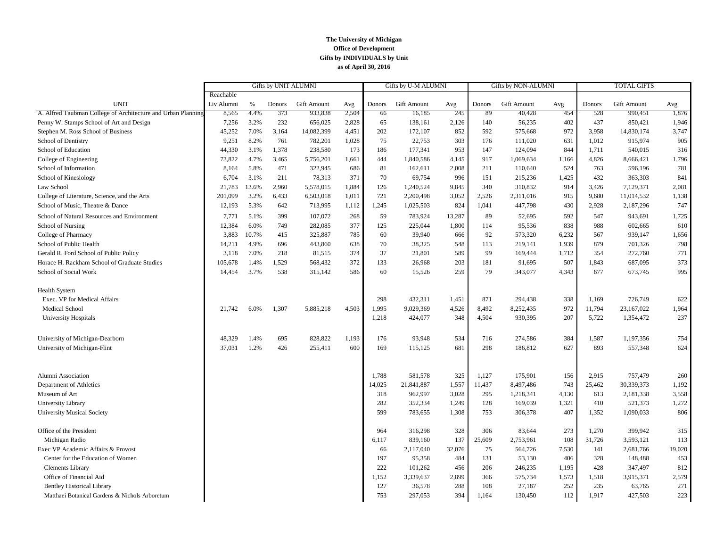#### **The University of Michigan Office of Development Gifts by INDIVIDUALS by Unit as of April 30, 2016**

|                                                              | Gifts by UNIT ALUMNI |       |        |                    |       | Gifts by U-M ALUMNI |                    | Gifts by NON-ALUMNI |        |             | <b>TOTAL GIFTS</b> |        |             |        |
|--------------------------------------------------------------|----------------------|-------|--------|--------------------|-------|---------------------|--------------------|---------------------|--------|-------------|--------------------|--------|-------------|--------|
|                                                              | Reachable            |       |        |                    |       |                     |                    |                     |        |             |                    |        |             |        |
| <b>UNIT</b>                                                  | Liv Alumni           | %     | Donors | <b>Gift Amount</b> | Avg   | Donors              | <b>Gift Amount</b> | Avg                 | Donors | Gift Amount | Avg                | Donors | Gift Amount | Avg    |
| A. Alfred Taubman College of Architecture and Urban Planning | 8,565                | 4.4%  | 373    | 933.838            | 2,504 | 66                  | 16.185             | 245                 | 89     | 40,428      | 454                | 528    | 990.451     | 1,876  |
| Penny W. Stamps School of Art and Design                     | 7,256                | 3.2%  | 232    | 656,025            | 2,828 | 65                  | 138,161            | 2,126               | 140    | 56,235      | 402                | 437    | 850,421     | 1,946  |
| Stephen M. Ross School of Business                           | 45,252               | 7.0%  | 3,164  | 14,082,399         | 4,451 | 202                 | 172,107            | 852                 | 592    | 575,668     | 972                | 3,958  | 14,830,174  | 3,747  |
| School of Dentistry                                          | 9,251                | 8.2%  | 761    | 782,201            | 1,028 | 75                  | 22,753             | 303                 | 176    | 111,020     | 631                | 1,012  | 915,974     | 905    |
| School of Education                                          | 44,330               | 3.1%  | 1,378  | 238,580            | 173   | 186                 | 177,341            | 953                 | 147    | 124,094     | 844                | 1,711  | 540,015     | 316    |
| College of Engineering                                       | 73,822               | 4.7%  | 3,465  | 5,756,201          | 1,661 | 444                 | 1,840,586          | 4,145               | 917    | 1,069,634   | 1,166              | 4,826  | 8,666,421   | 1,796  |
| School of Information                                        | 8,164                | 5.8%  | 471    | 322,945            | 686   | 81                  | 162,611            | 2,008               | 211    | 110,640     | 524                | 763    | 596,196     | 781    |
| School of Kinesiology                                        | 6,704                | 3.1%  | 211    | 78,313             | 371   | 70                  | 69,754             | 996                 | 151    | 215,236     | 1,425              | 432    | 363,303     | 841    |
| Law School                                                   | 21,783               | 13.6% | 2,960  | 5,578,015          | 1,884 | 126                 | 1,240,524          | 9,845               | 340    | 310,832     | 914                | 3,426  | 7,129,371   | 2,081  |
| College of Literature, Science, and the Arts                 | 201,099              | 3.2%  | 6,433  | 6,503,018          | 1,011 | 721                 | 2,200,498          | 3,052               | 2,526  | 2,311,016   | 915                | 9,680  | 11,014,532  | 1,138  |
| School of Music, Theatre & Dance                             | 12,193               | 5.3%  | 642    | 713,995            | 1,112 | 1,245               | 1,025,503          | 824                 | 1,041  | 447,798     | 430                | 2,928  | 2,187,296   | 747    |
| School of Natural Resources and Environment                  | 7,771                | 5.1%  | 399    | 107,072            | 268   | 59                  | 783,924            | 13,287              | 89     | 52,695      | 592                | 547    | 943,691     | 1,725  |
| School of Nursing                                            | 12,384               | 6.0%  | 749    | 282,085            | 377   | 125                 | 225,044            | 1,800               | 114    | 95,536      | 838                | 988    | 602,665     | 610    |
| College of Pharmacy                                          | 3,883                | 10.7% | 415    | 325,887            | 785   | 60                  | 39,940             | 666                 | 92     | 573,320     | 6,232              | 567    | 939,147     | 1,656  |
| School of Public Health                                      | 14,211               | 4.9%  | 696    | 443,860            | 638   | 70                  | 38,325             | 548                 | 113    | 219,141     | 1,939              | 879    | 701,326     | 798    |
| Gerald R. Ford School of Public Policy                       | 3,118                | 7.0%  | 218    | 81,515             | 374   | 37                  | 21,801             | 589                 | 99     | 169,444     | 1,712              | 354    | 272,760     | 771    |
| Horace H. Rackham School of Graduate Studies                 | 105,678              | 1.4%  | 1,529  | 568,432            | 372   | 133                 | 26,968             | 203                 | 181    | 91,695      | 507                | 1,843  | 687,095     | 373    |
| School of Social Work                                        | 14,454               | 3.7%  | 538    | 315,142            | 586   | 60                  | 15,526             | 259                 | 79     | 343,077     | 4,343              | 677    | 673,745     | 995    |
| <b>Health System</b>                                         |                      |       |        |                    |       |                     |                    |                     |        |             |                    |        |             |        |
| Exec. VP for Medical Affairs                                 |                      |       |        |                    |       | 298                 | 432,311            | 1,451               | 871    | 294,438     | 338                | 1,169  | 726,749     | 622    |
| <b>Medical School</b>                                        | 21.742               | 6.0%  | 1,307  | 5,885,218          | 4,503 | 1,995               | 9,029,369          | 4,526               | 8,492  | 8,252,435   | 972                | 11,794 | 23,167,022  | 1,964  |
| <b>University Hospitals</b>                                  |                      |       |        |                    |       | 1,218               | 424,077            | 348                 | 4,504  | 930,395     | 207                | 5,722  | 1,354,472   | 237    |
| University of Michigan-Dearborn                              | 48.329               | 1.4%  | 695    | 828,822            | 1,193 | 176                 | 93,948             | 534                 | 716    | 274,586     | 384                | 1,587  | 1,197,356   | 754    |
| University of Michigan-Flint                                 | 37,031               | 1.2%  | 426    | 255,411            | 600   | 169                 | 115,125            | 681                 | 298    | 186,812     | 627                | 893    | 557,348     | 624    |
|                                                              |                      |       |        |                    |       |                     |                    |                     |        |             |                    |        |             |        |
| Alumni Association                                           |                      |       |        |                    |       | 1,788               | 581,578            | 325                 | 1,127  | 175,901     | 156                | 2,915  | 757,479     | 260    |
| Department of Athletics                                      |                      |       |        |                    |       | 14,025              | 21,841,887         | 1,557               | 11,437 | 8,497,486   | 743                | 25,462 | 30,339,373  | 1,192  |
| Museum of Art                                                |                      |       |        |                    |       | 318                 | 962,997            | 3,028               | 295    | 1,218,341   | 4,130              | 613    | 2,181,338   | 3,558  |
| University Library                                           |                      |       |        |                    |       | 282                 | 352,334            | 1,249               | 128    | 169,039     | 1,321              | 410    | 521,373     | 1,272  |
| <b>University Musical Society</b>                            |                      |       |        |                    |       | 599                 | 783,655            | 1,308               | 753    | 306,378     | 407                | 1,352  | 1,090,033   | 806    |
| Office of the President                                      |                      |       |        |                    |       | 964                 | 316,298            | 328                 | 306    | 83,644      | 273                | 1,270  | 399,942     | 315    |
| Michigan Radio                                               |                      |       |        |                    |       | 6,117               | 839,160            | 137                 | 25,609 | 2,753,961   | 108                | 31,726 | 3,593,121   | 113    |
| Exec VP Academic Affairs & Provost                           |                      |       |        |                    |       | 66                  | 2,117,040          | 32,076              | 75     | 564,726     | 7,530              | 141    | 2,681,766   | 19,020 |
| Center for the Education of Women                            |                      |       |        |                    |       | 197                 | 95,358             | 484                 | 131    | 53,130      | 406                | 328    | 148,488     | 453    |
| <b>Clements Library</b>                                      |                      |       |        |                    |       | 222                 | 101,262            | 456                 | 206    | 246,235     | 1,195              | 428    | 347,497     | 812    |
| Office of Financial Aid                                      |                      |       |        |                    |       | 1,152               | 3,339,637          | 2,899               | 366    | 575,734     | 1,573              | 1,518  | 3,915,371   | 2,579  |
| <b>Bentley Historical Library</b>                            |                      |       |        |                    |       | 127                 | 36,578             | 288                 | 108    | 27,187      | 252                | 235    | 63,765      | 271    |
| Matthaei Botanical Gardens & Nichols Arboretum               |                      |       |        |                    |       | 753                 | 297,053            | 394                 | 1,164  | 130,450     | 112                | 1,917  | 427,503     | 223    |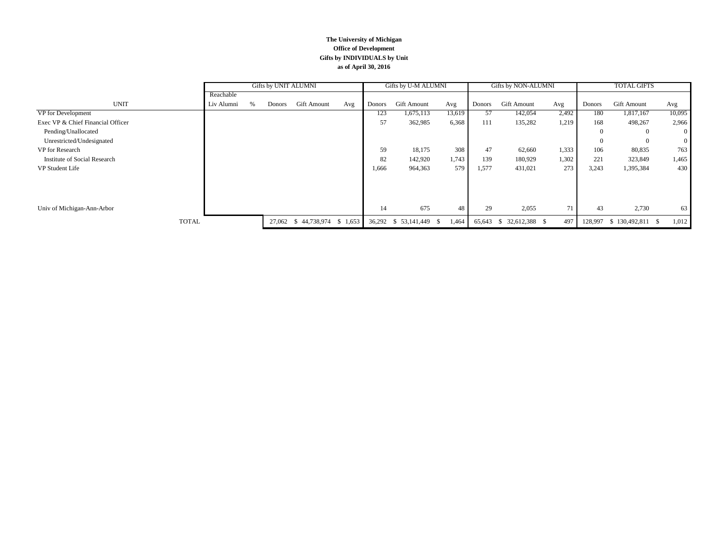#### **The University of Michigan Office of Development Gifts by INDIVIDUALS by Unit as of April 30, 2016**

|                                   |            | Gifts by UNIT ALUMNI |        |                    |         | Gifts by U-M ALUMNI |                    |        | Gifts by NON-ALUMNI |                               |       | <b>TOTAL GIFTS</b> |                    |                |
|-----------------------------------|------------|----------------------|--------|--------------------|---------|---------------------|--------------------|--------|---------------------|-------------------------------|-------|--------------------|--------------------|----------------|
|                                   | Reachable  |                      |        |                    |         |                     |                    |        |                     |                               |       |                    |                    |                |
| <b>UNIT</b>                       | Liv Alumni | $\%$                 | Donors | <b>Gift Amount</b> | Avg     | Donors              | Gift Amount        | Avg    | Donors              | Gift Amount                   | Avg   | Donors             | Gift Amount        | Avg            |
| VP for Development                |            |                      |        |                    |         | 123                 | 1,675,113          | 13,619 | 57                  | 142,054                       | 2,492 | 180                | 1,817,167          | 10,095         |
| Exec VP & Chief Financial Officer |            |                      |        |                    |         | 57                  | 362,985            | 6,368  | 111                 | 135,282                       | 1,219 | 168                | 498,267            | 2,966          |
| Pending/Unallocated               |            |                      |        |                    |         |                     |                    |        |                     |                               |       | $\Omega$           | $\overline{0}$     | $\overline{0}$ |
| Unrestricted/Undesignated         |            |                      |        |                    |         |                     |                    |        |                     |                               |       |                    | $\Omega$           | $\overline{0}$ |
| VP for Research                   |            |                      |        |                    |         | 59                  | 18,175             | 308    | 47                  | 62,660                        | 1,333 | 106                | 80,835             | 763            |
| Institute of Social Research      |            |                      |        |                    |         | 82                  | 142,920            | 1,743  | 139                 | 180,929                       | 1,302 | 221                | 323,849            | 1,465          |
| VP Student Life                   |            |                      |        |                    |         | 1,666               | 964,363            | 579    | 1,577               | 431,021                       | 273   | 3,243              | 1,395,384          | 430            |
|                                   |            |                      |        |                    |         |                     |                    |        |                     |                               |       |                    |                    |                |
|                                   |            |                      |        |                    |         |                     |                    |        |                     |                               |       |                    |                    |                |
|                                   |            |                      |        |                    |         |                     |                    |        |                     |                               |       |                    |                    |                |
| Univ of Michigan-Ann-Arbor        |            |                      |        |                    |         | 14                  | 675                | 48     | 29                  | 2,055                         | 71    | 43                 | 2,730              | 63             |
| <b>TOTAL</b>                      |            |                      | 27,062 | 44,738,974<br>- \$ | \$1,653 | 36,292              | $$53,141,449$ \ \$ | 1,464  | 65,643              | 32,612,388 \$<br><sup>S</sup> | 497   | 128,997            | $$130,492,811$ \\$ | 1,012          |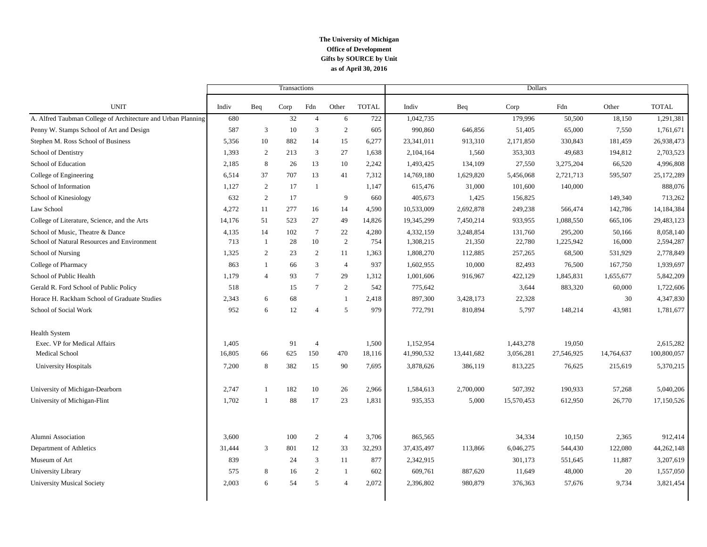#### **The University of Michigan Office of Development as of April 30, 2016 Gifts by SOURCE by Unit**

|                                                              |        |                | Transactions |                 |                |              | <b>Dollars</b> |            |            |            |            |              |
|--------------------------------------------------------------|--------|----------------|--------------|-----------------|----------------|--------------|----------------|------------|------------|------------|------------|--------------|
| <b>UNIT</b>                                                  | Indiv  | Beq            | Corp         | Fdn             | Other          | <b>TOTAL</b> | Indiv          | Beq        | Corp       | Fdn        | Other      | <b>TOTAL</b> |
| A. Alfred Taubman College of Architecture and Urban Planning | 680    |                | 32           | $\overline{4}$  | 6              | 722          | 1,042,735      |            | 179,996    | 50,500     | 18,150     | 1,291,381    |
| Penny W. Stamps School of Art and Design                     | 587    | 3              | 10           | 3               | 2              | 605          | 990,860        | 646,856    | 51,405     | 65,000     | 7,550      | 1,761,671    |
| Stephen M. Ross School of Business                           | 5,356  | 10             | 882          | 14              | 15             | 6,277        | 23,341,011     | 913,310    | 2,171,850  | 330,843    | 181,459    | 26,938,473   |
| School of Dentistry                                          | 1,393  | 2              | 213          | 3               | 27             | 1,638        | 2,104,164      | 1,560      | 353,303    | 49,683     | 194,812    | 2,703,523    |
| School of Education                                          | 2,185  | 8              | 26           | 13              | 10             | 2,242        | 1,493,425      | 134,109    | 27,550     | 3,275,204  | 66,520     | 4,996,808    |
| College of Engineering                                       | 6,514  | 37             | 707          | 13              | 41             | 7,312        | 14,769,180     | 1,629,820  | 5,456,068  | 2,721,713  | 595,507    | 25,172,289   |
| School of Information                                        | 1,127  | 2              | 17           | -1              |                | 1,147        | 615,476        | 31,000     | 101,600    | 140,000    |            | 888,076      |
| School of Kinesiology                                        | 632    | 2              | 17           |                 | 9              | 660          | 405,673        | 1,425      | 156,825    |            | 149,340    | 713,262      |
| Law School                                                   | 4,272  | 11             | 277          | 16              | 14             | 4,590        | 10,533,009     | 2,692,878  | 249,238    | 566,474    | 142,786    | 14,184,384   |
| College of Literature, Science, and the Arts                 | 14,176 | 51             | 523          | 27              | 49             | 14,826       | 19,345,299     | 7,450,214  | 933,955    | 1,088,550  | 665,106    | 29,483,123   |
| School of Music, Theatre & Dance                             | 4,135  | 14             | 102          | $7\phantom{.0}$ | 22             | 4,280        | 4,332,159      | 3,248,854  | 131,760    | 295,200    | 50,166     | 8,058,140    |
| School of Natural Resources and Environment                  | 713    | $\overline{1}$ | 28           | 10              | $\overline{2}$ | 754          | 1,308,215      | 21,350     | 22,780     | 1,225,942  | 16,000     | 2,594,287    |
| School of Nursing                                            | 1,325  | 2              | 23           | 2               | 11             | 1,363        | 1,808,270      | 112,885    | 257,265    | 68,500     | 531,929    | 2,778,849    |
| College of Pharmacy                                          | 863    | $\mathbf{1}$   | 66           | 3               | $\overline{4}$ | 937          | 1,602,955      | 10,000     | 82,493     | 76,500     | 167,750    | 1,939,697    |
| School of Public Health                                      | 1,179  | $\overline{4}$ | 93           | $7\phantom{.0}$ | 29             | 1,312        | 1,001,606      | 916,967    | 422,129    | 1,845,831  | 1,655,677  | 5,842,209    |
| Gerald R. Ford School of Public Policy                       | 518    |                | 15           | $\tau$          | 2              | 542          | 775,642        |            | 3,644      | 883,320    | 60,000     | 1,722,606    |
| Horace H. Rackham School of Graduate Studies                 | 2,343  | 6              | 68           |                 | $\overline{1}$ | 2,418        | 897,300        | 3,428,173  | 22,328     |            | 30         | 4,347,830    |
| School of Social Work                                        | 952    | 6              | 12           | $\overline{4}$  | 5              | 979          | 772,791        | 810,894    | 5,797      | 148,214    | 43,981     | 1,781,677    |
| <b>Health System</b>                                         |        |                |              |                 |                |              |                |            |            |            |            |              |
| Exec. VP for Medical Affairs                                 | 1.405  |                | 91           | $\overline{4}$  |                | 1,500        | 1,152,954      |            | 1,443,278  | 19,050     |            | 2,615,282    |
| <b>Medical School</b>                                        | 16,805 | 66             | 625          | 150             | 470            | 18,116       | 41,990,532     | 13,441,682 | 3,056,281  | 27,546,925 | 14,764,637 | 100,800,057  |
| <b>University Hospitals</b>                                  | 7,200  | 8              | 382          | 15              | 90             | 7,695        | 3,878,626      | 386,119    | 813,225    | 76,625     | 215,619    | 5,370,215    |
| University of Michigan-Dearborn                              | 2,747  | $\mathbf{1}$   | 182          | 10              | 26             | 2,966        | 1,584,613      | 2,700,000  | 507,392    | 190,933    | 57,268     | 5,040,206    |
| University of Michigan-Flint                                 | 1,702  | $\overline{1}$ | 88           | 17              | 23             | 1,831        | 935,353        | 5,000      | 15,570,453 | 612,950    | 26,770     | 17,150,526   |
| Alumni Association                                           | 3.600  |                | 100          | 2               | $\overline{4}$ | 3,706        | 865,565        |            | 34,334     | 10,150     | 2,365      | 912,414      |
| Department of Athletics                                      | 31,444 | 3              | 801          | 12              | 33             | 32,293       | 37,435,497     | 113,866    | 6,046,275  | 544,430    | 122,080    | 44,262,148   |
| Museum of Art                                                | 839    |                | 24           | 3               | 11             | 877          | 2,342,915      |            | 301,173    | 551,645    | 11,887     | 3,207,619    |
| University Library                                           | 575    | 8              | 16           | $\overline{c}$  | -1             | 602          | 609,761        | 887,620    | 11,649     | 48,000     | 20         | 1,557,050    |
| <b>University Musical Society</b>                            | 2,003  | 6              | 54           | 5               | $\Delta$       | 2.072        | 2,396,802      | 980,879    | 376,363    | 57,676     | 9,734      | 3,821,454    |
|                                                              |        |                |              |                 |                |              |                |            |            |            |            |              |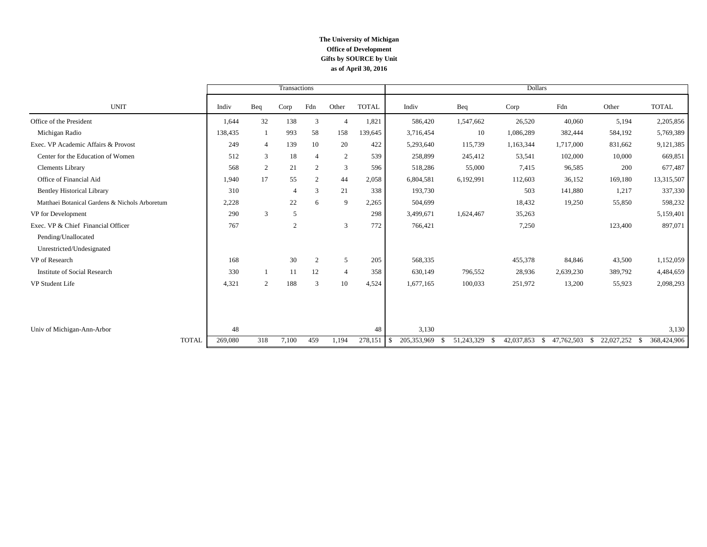#### **The University of Michigan Office of Development as of April 30, 2016 Gifts by SOURCE by Unit**

|                                                |         |                | Transactions   |                |                |              | <b>Dollars</b>      |                             |                    |                            |                  |                     |  |
|------------------------------------------------|---------|----------------|----------------|----------------|----------------|--------------|---------------------|-----------------------------|--------------------|----------------------------|------------------|---------------------|--|
| <b>UNIT</b>                                    | Indiv   | Beq            | Corp           | Fdn            | Other          | <b>TOTAL</b> | Indiv               | Beq                         | Corp               | Fdn                        | Other            | <b>TOTAL</b>        |  |
| Office of the President                        | 1,644   | 32             | 138            | 3              | $\overline{4}$ | 1,821        | 586,420             | 1,547,662                   | 26,520             | 40,060                     | 5,194            | 2,205,856           |  |
| Michigan Radio                                 | 138,435 | $\mathbf{1}$   | 993            | 58             | 158            | 139,645      | 3,716,454           | 10                          | 1,086,289          | 382,444                    | 584,192          | 5,769,389           |  |
| Exec. VP Academic Affairs & Provost            | 249     | $\overline{4}$ | 139            | 10             | 20             | 422          | 5,293,640           | 115,739                     | 1,163,344          | 1,717,000                  | 831,662          | 9,121,385           |  |
| Center for the Education of Women              | 512     | 3              | 18             | $\overline{4}$ | $\sqrt{2}$     | 539          | 258,899             | 245,412                     | 53,541             | 102,000                    | 10,000           | 669,851             |  |
| <b>Clements Library</b>                        | 568     | $\overline{2}$ | 21             | 2              | 3              | 596          | 518,286             | 55,000                      | 7,415              | 96,585                     | 200              | 677,487             |  |
| Office of Financial Aid                        | 1,940   | 17             | 55             | 2              | 44             | 2,058        | 6,804,581           | 6,192,991                   | 112,603            | 36,152                     | 169,180          | 13,315,507          |  |
| <b>Bentley Historical Library</b>              | 310     |                | $\overline{4}$ | 3              | 21             | 338          | 193,730             |                             | 503                | 141,880                    | 1,217            | 337,330             |  |
| Matthaei Botanical Gardens & Nichols Arboretum | 2,228   |                | 22             | 6              | 9              | 2,265        | 504,699             |                             | 18,432             | 19,250                     | 55,850           | 598,232             |  |
| VP for Development                             | 290     | 3              | 5              |                |                | 298          | 3,499,671           | 1,624,467                   | 35,263             |                            |                  | 5,159,401           |  |
| Exec. VP & Chief Financial Officer             | 767     |                | $\overline{2}$ |                | 3              | 772          | 766,421             |                             | 7,250              |                            | 123,400          | 897,071             |  |
| Pending/Unallocated                            |         |                |                |                |                |              |                     |                             |                    |                            |                  |                     |  |
| Unrestricted/Undesignated                      |         |                |                |                |                |              |                     |                             |                    |                            |                  |                     |  |
| VP of Research                                 | 168     |                | 30             | 2              | 5              | 205          | 568,335             |                             | 455,378            | 84,846                     | 43,500           | 1,152,059           |  |
| <b>Institute of Social Research</b>            | 330     |                | 11             | 12             | $\overline{4}$ | 358          | 630,149             | 796,552                     | 28,936             | 2,639,230                  | 389,792          | 4,484,659           |  |
| VP Student Life                                | 4.321   | 2              | 188            | 3              | 10             | 4,524        | 1,677,165           | 100,033                     | 251,972            | 13,200                     | 55,923           | 2,098,293           |  |
|                                                |         |                |                |                |                |              |                     |                             |                    |                            |                  |                     |  |
| Univ of Michigan-Ann-Arbor                     | 48      |                |                |                |                | 48           | 3,130               |                             |                    |                            |                  | 3,130               |  |
| <b>TOTAL</b>                                   | 269,080 | 318            | 7,100          | 459            | 1,194          | 278,151      | 205, 353, 969<br>-S | 51,243,329<br><sup>\$</sup> | 42,037,853<br>- \$ | 47,762,503<br>$\mathbb{S}$ | 22,027,252<br>-S | 368,424,906<br>- \$ |  |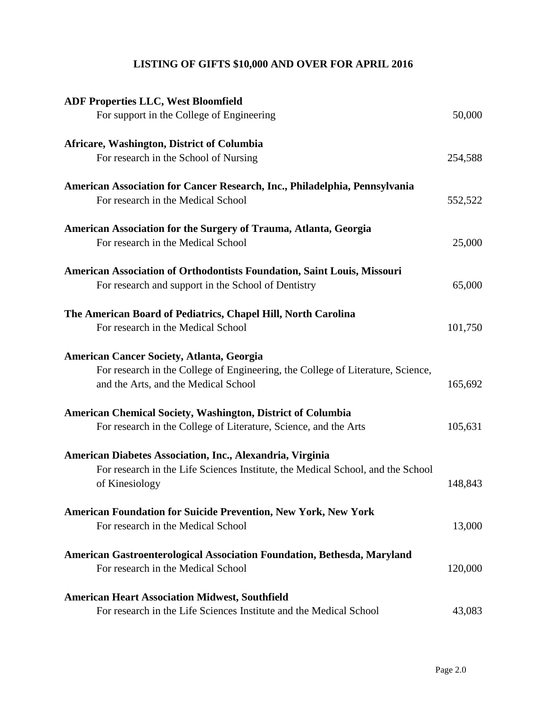# **LISTING OF GIFTS \$10,000 AND OVER FOR APRIL 2016**

| <b>ADF Properties LLC, West Bloomfield</b>                                                                              |         |
|-------------------------------------------------------------------------------------------------------------------------|---------|
| For support in the College of Engineering                                                                               | 50,000  |
| Africare, Washington, District of Columbia                                                                              |         |
| For research in the School of Nursing                                                                                   | 254,588 |
| American Association for Cancer Research, Inc., Philadelphia, Pennsylvania                                              |         |
| For research in the Medical School                                                                                      | 552,522 |
| American Association for the Surgery of Trauma, Atlanta, Georgia                                                        |         |
| For research in the Medical School                                                                                      | 25,000  |
| American Association of Orthodontists Foundation, Saint Louis, Missouri                                                 |         |
| For research and support in the School of Dentistry                                                                     | 65,000  |
| The American Board of Pediatrics, Chapel Hill, North Carolina                                                           |         |
| For research in the Medical School                                                                                      | 101,750 |
| <b>American Cancer Society, Atlanta, Georgia</b>                                                                        |         |
| For research in the College of Engineering, the College of Literature, Science,<br>and the Arts, and the Medical School | 165,692 |
|                                                                                                                         |         |
| American Chemical Society, Washington, District of Columbia                                                             |         |
| For research in the College of Literature, Science, and the Arts                                                        | 105,631 |
| American Diabetes Association, Inc., Alexandria, Virginia                                                               |         |
| For research in the Life Sciences Institute, the Medical School, and the School<br>of Kinesiology                       | 148,843 |
|                                                                                                                         |         |
| <b>American Foundation for Suicide Prevention, New York, New York</b><br>For research in the Medical School             | 13,000  |
|                                                                                                                         |         |
| American Gastroenterological Association Foundation, Bethesda, Maryland                                                 |         |
| For research in the Medical School                                                                                      | 120,000 |
| <b>American Heart Association Midwest, Southfield</b>                                                                   |         |
| For research in the Life Sciences Institute and the Medical School                                                      | 43,083  |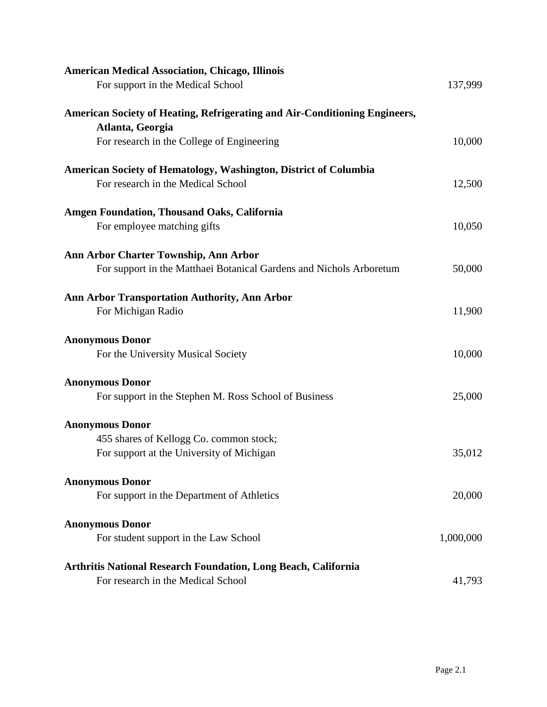| <b>American Medical Association, Chicago, Illinois</b>                     |           |
|----------------------------------------------------------------------------|-----------|
| For support in the Medical School                                          | 137,999   |
| American Society of Heating, Refrigerating and Air-Conditioning Engineers, |           |
| Atlanta, Georgia                                                           |           |
| For research in the College of Engineering                                 | 10,000    |
| American Society of Hematology, Washington, District of Columbia           |           |
| For research in the Medical School                                         | 12,500    |
| <b>Amgen Foundation, Thousand Oaks, California</b>                         |           |
| For employee matching gifts                                                | 10,050    |
| Ann Arbor Charter Township, Ann Arbor                                      |           |
| For support in the Matthaei Botanical Gardens and Nichols Arboretum        | 50,000    |
| <b>Ann Arbor Transportation Authority, Ann Arbor</b>                       |           |
| For Michigan Radio                                                         | 11,900    |
| <b>Anonymous Donor</b>                                                     |           |
| For the University Musical Society                                         | 10,000    |
| <b>Anonymous Donor</b>                                                     |           |
| For support in the Stephen M. Ross School of Business                      | 25,000    |
| <b>Anonymous Donor</b>                                                     |           |
| 455 shares of Kellogg Co. common stock;                                    |           |
| For support at the University of Michigan                                  | 35,012    |
| <b>Anonymous Donor</b>                                                     |           |
| For support in the Department of Athletics                                 | 20,000    |
| <b>Anonymous Donor</b>                                                     |           |
| For student support in the Law School                                      | 1,000,000 |
| <b>Arthritis National Research Foundation, Long Beach, California</b>      |           |
| For research in the Medical School                                         | 41,793    |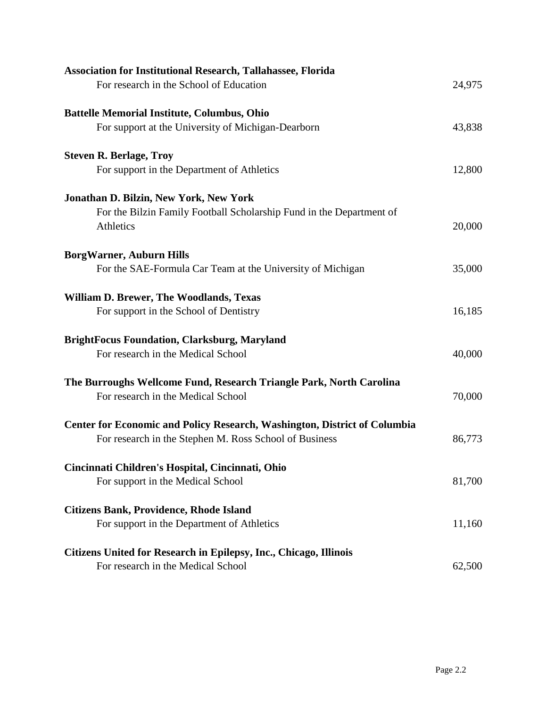| <b>Association for Institutional Research, Tallahassee, Florida</b>              |        |
|----------------------------------------------------------------------------------|--------|
| For research in the School of Education                                          | 24,975 |
| <b>Battelle Memorial Institute, Columbus, Ohio</b>                               |        |
| For support at the University of Michigan-Dearborn                               | 43,838 |
| <b>Steven R. Berlage, Troy</b>                                                   |        |
| For support in the Department of Athletics                                       | 12,800 |
| <b>Jonathan D. Bilzin, New York, New York</b>                                    |        |
| For the Bilzin Family Football Scholarship Fund in the Department of             |        |
| Athletics                                                                        | 20,000 |
| <b>BorgWarner, Auburn Hills</b>                                                  |        |
| For the SAE-Formula Car Team at the University of Michigan                       | 35,000 |
| <b>William D. Brewer, The Woodlands, Texas</b>                                   |        |
| For support in the School of Dentistry                                           | 16,185 |
| <b>BrightFocus Foundation, Clarksburg, Maryland</b>                              |        |
| For research in the Medical School                                               | 40,000 |
| The Burroughs Wellcome Fund, Research Triangle Park, North Carolina              |        |
| For research in the Medical School                                               | 70,000 |
| <b>Center for Economic and Policy Research, Washington, District of Columbia</b> |        |
| For research in the Stephen M. Ross School of Business                           | 86,773 |
| Cincinnati Children's Hospital, Cincinnati, Ohio                                 |        |
| For support in the Medical School                                                | 81,700 |
| <b>Citizens Bank, Providence, Rhode Island</b>                                   |        |
| For support in the Department of Athletics                                       | 11,160 |
| Citizens United for Research in Epilepsy, Inc., Chicago, Illinois                |        |
| For research in the Medical School                                               | 62,500 |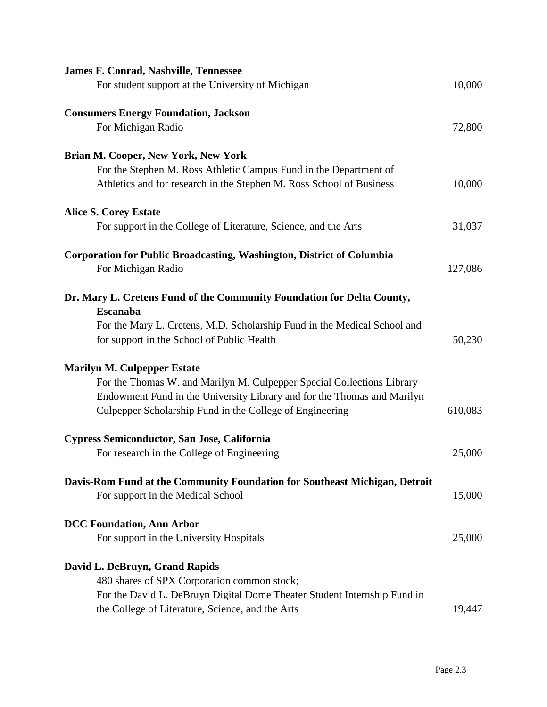| <b>James F. Conrad, Nashville, Tennessee</b><br>For student support at the University of Michigan                                                                                                                                                   | 10,000  |
|-----------------------------------------------------------------------------------------------------------------------------------------------------------------------------------------------------------------------------------------------------|---------|
| <b>Consumers Energy Foundation, Jackson</b><br>For Michigan Radio                                                                                                                                                                                   | 72,800  |
| <b>Brian M. Cooper, New York, New York</b><br>For the Stephen M. Ross Athletic Campus Fund in the Department of<br>Athletics and for research in the Stephen M. Ross School of Business                                                             | 10,000  |
| <b>Alice S. Corey Estate</b><br>For support in the College of Literature, Science, and the Arts                                                                                                                                                     | 31,037  |
| <b>Corporation for Public Broadcasting, Washington, District of Columbia</b><br>For Michigan Radio                                                                                                                                                  | 127,086 |
| Dr. Mary L. Cretens Fund of the Community Foundation for Delta County,<br><b>Escanaba</b><br>For the Mary L. Cretens, M.D. Scholarship Fund in the Medical School and<br>for support in the School of Public Health                                 | 50,230  |
| <b>Marilyn M. Culpepper Estate</b><br>For the Thomas W. and Marilyn M. Culpepper Special Collections Library<br>Endowment Fund in the University Library and for the Thomas and Marilyn<br>Culpepper Scholarship Fund in the College of Engineering | 610,083 |
| Cypress Semiconductor, San Jose, California<br>For research in the College of Engineering                                                                                                                                                           | 25,000  |
| Davis-Rom Fund at the Community Foundation for Southeast Michigan, Detroit<br>For support in the Medical School                                                                                                                                     | 15,000  |
| <b>DCC Foundation, Ann Arbor</b><br>For support in the University Hospitals                                                                                                                                                                         | 25,000  |
| David L. DeBruyn, Grand Rapids<br>480 shares of SPX Corporation common stock;<br>For the David L. DeBruyn Digital Dome Theater Student Internship Fund in<br>the College of Literature, Science, and the Arts                                       | 19,447  |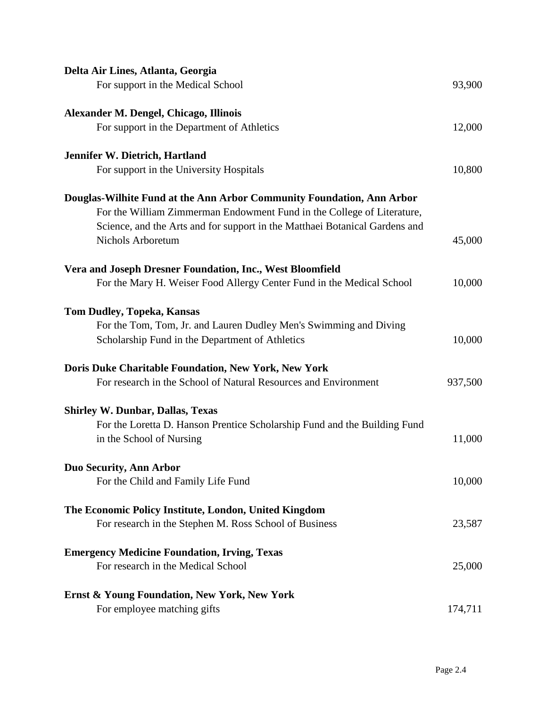| Delta Air Lines, Atlanta, Georgia                                           |         |
|-----------------------------------------------------------------------------|---------|
| For support in the Medical School                                           | 93,900  |
| Alexander M. Dengel, Chicago, Illinois                                      |         |
| For support in the Department of Athletics                                  | 12,000  |
| Jennifer W. Dietrich, Hartland                                              |         |
| For support in the University Hospitals                                     | 10,800  |
| Douglas-Wilhite Fund at the Ann Arbor Community Foundation, Ann Arbor       |         |
| For the William Zimmerman Endowment Fund in the College of Literature,      |         |
| Science, and the Arts and for support in the Matthaei Botanical Gardens and |         |
| <b>Nichols Arboretum</b>                                                    | 45,000  |
| Vera and Joseph Dresner Foundation, Inc., West Bloomfield                   |         |
| For the Mary H. Weiser Food Allergy Center Fund in the Medical School       | 10,000  |
| <b>Tom Dudley, Topeka, Kansas</b>                                           |         |
| For the Tom, Tom, Jr. and Lauren Dudley Men's Swimming and Diving           |         |
| Scholarship Fund in the Department of Athletics                             | 10,000  |
| Doris Duke Charitable Foundation, New York, New York                        |         |
| For research in the School of Natural Resources and Environment             | 937,500 |
| <b>Shirley W. Dunbar, Dallas, Texas</b>                                     |         |
| For the Loretta D. Hanson Prentice Scholarship Fund and the Building Fund   |         |
| in the School of Nursing                                                    | 11,000  |
| <b>Duo Security, Ann Arbor</b>                                              |         |
| For the Child and Family Life Fund                                          | 10,000  |
| The Economic Policy Institute, London, United Kingdom                       |         |
| For research in the Stephen M. Ross School of Business                      | 23,587  |
| <b>Emergency Medicine Foundation, Irving, Texas</b>                         |         |
| For research in the Medical School                                          | 25,000  |
| <b>Ernst &amp; Young Foundation, New York, New York</b>                     |         |
| For employee matching gifts                                                 | 174,711 |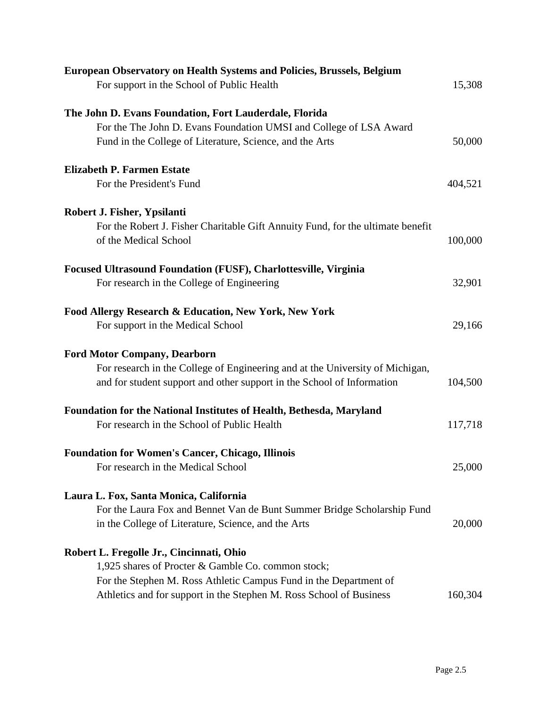| <b>European Observatory on Health Systems and Policies, Brussels, Belgium</b>   |         |
|---------------------------------------------------------------------------------|---------|
| For support in the School of Public Health                                      | 15,308  |
| The John D. Evans Foundation, Fort Lauderdale, Florida                          |         |
| For the The John D. Evans Foundation UMSI and College of LSA Award              |         |
| Fund in the College of Literature, Science, and the Arts                        | 50,000  |
| <b>Elizabeth P. Farmen Estate</b>                                               |         |
| For the President's Fund                                                        | 404,521 |
| Robert J. Fisher, Ypsilanti                                                     |         |
| For the Robert J. Fisher Charitable Gift Annuity Fund, for the ultimate benefit |         |
| of the Medical School                                                           | 100,000 |
| <b>Focused Ultrasound Foundation (FUSF), Charlottesville, Virginia</b>          |         |
| For research in the College of Engineering                                      | 32,901  |
| Food Allergy Research & Education, New York, New York                           |         |
| For support in the Medical School                                               | 29,166  |
| <b>Ford Motor Company, Dearborn</b>                                             |         |
| For research in the College of Engineering and at the University of Michigan,   |         |
| and for student support and other support in the School of Information          | 104,500 |
| <b>Foundation for the National Institutes of Health, Bethesda, Maryland</b>     |         |
| For research in the School of Public Health                                     | 117,718 |
| <b>Foundation for Women's Cancer, Chicago, Illinois</b>                         |         |
| For research in the Medical School                                              | 25,000  |
| Laura L. Fox, Santa Monica, California                                          |         |
| For the Laura Fox and Bennet Van de Bunt Summer Bridge Scholarship Fund         |         |
| in the College of Literature, Science, and the Arts                             | 20,000  |
| Robert L. Fregolle Jr., Cincinnati, Ohio                                        |         |
| 1,925 shares of Procter & Gamble Co. common stock;                              |         |
| For the Stephen M. Ross Athletic Campus Fund in the Department of               |         |
| Athletics and for support in the Stephen M. Ross School of Business             | 160,304 |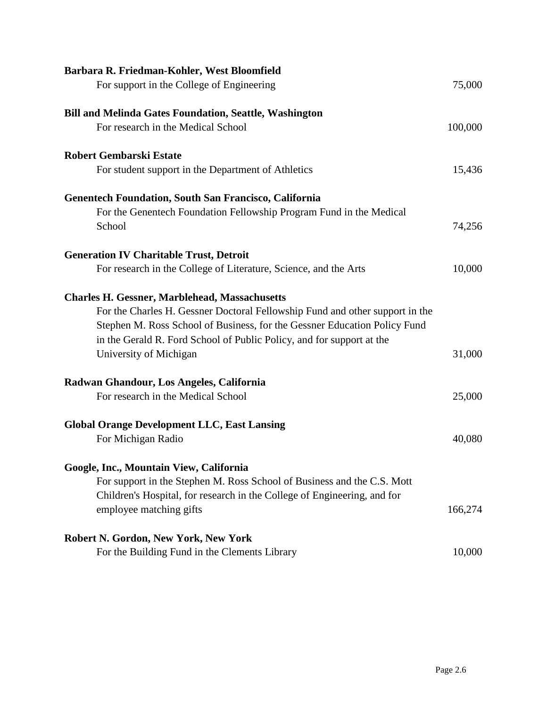| Barbara R. Friedman-Kohler, West Bloomfield                                  |         |
|------------------------------------------------------------------------------|---------|
| For support in the College of Engineering                                    | 75,000  |
| <b>Bill and Melinda Gates Foundation, Seattle, Washington</b>                |         |
| For research in the Medical School                                           | 100,000 |
| <b>Robert Gembarski Estate</b>                                               |         |
| For student support in the Department of Athletics                           | 15,436  |
| <b>Genentech Foundation, South San Francisco, California</b>                 |         |
| For the Genentech Foundation Fellowship Program Fund in the Medical          |         |
| School                                                                       | 74,256  |
| <b>Generation IV Charitable Trust, Detroit</b>                               |         |
| For research in the College of Literature, Science, and the Arts             | 10,000  |
| <b>Charles H. Gessner, Marblehead, Massachusetts</b>                         |         |
| For the Charles H. Gessner Doctoral Fellowship Fund and other support in the |         |
| Stephen M. Ross School of Business, for the Gessner Education Policy Fund    |         |
| in the Gerald R. Ford School of Public Policy, and for support at the        |         |
| University of Michigan                                                       | 31,000  |
| Radwan Ghandour, Los Angeles, California                                     |         |
| For research in the Medical School                                           | 25,000  |
| <b>Global Orange Development LLC, East Lansing</b>                           |         |
| For Michigan Radio                                                           | 40,080  |
| Google, Inc., Mountain View, California                                      |         |
| For support in the Stephen M. Ross School of Business and the C.S. Mott      |         |
| Children's Hospital, for research in the College of Engineering, and for     |         |
| employee matching gifts                                                      | 166,274 |
| Robert N. Gordon, New York, New York                                         |         |
| For the Building Fund in the Clements Library                                | 10,000  |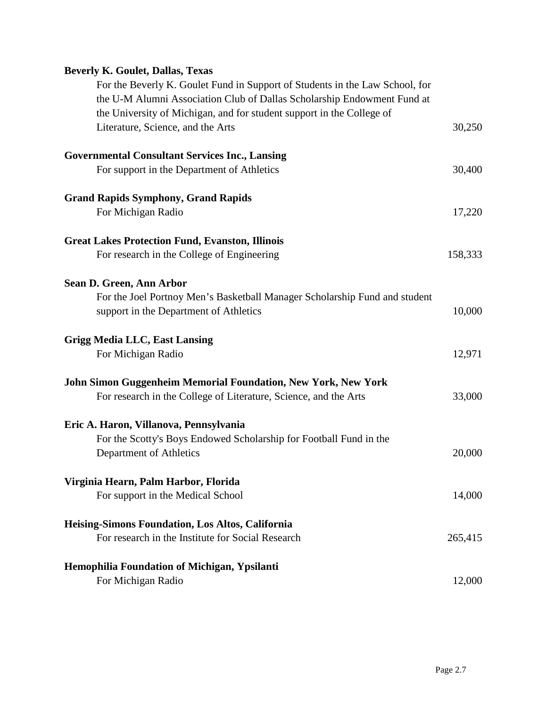# **Beverly K. Goulet, Dallas, Texas**

| For the Beverly K. Goulet Fund in Support of Students in the Law School, for |         |
|------------------------------------------------------------------------------|---------|
| the U-M Alumni Association Club of Dallas Scholarship Endowment Fund at      |         |
| the University of Michigan, and for student support in the College of        |         |
| Literature, Science, and the Arts                                            | 30,250  |
| <b>Governmental Consultant Services Inc., Lansing</b>                        |         |
| For support in the Department of Athletics                                   | 30,400  |
| <b>Grand Rapids Symphony, Grand Rapids</b>                                   |         |
| For Michigan Radio                                                           | 17,220  |
| <b>Great Lakes Protection Fund, Evanston, Illinois</b>                       |         |
| For research in the College of Engineering                                   | 158,333 |
| Sean D. Green, Ann Arbor                                                     |         |
| For the Joel Portnoy Men's Basketball Manager Scholarship Fund and student   |         |
| support in the Department of Athletics                                       | 10,000  |
| <b>Grigg Media LLC, East Lansing</b>                                         |         |
| For Michigan Radio                                                           | 12,971  |
| <b>John Simon Guggenheim Memorial Foundation, New York, New York</b>         |         |
| For research in the College of Literature, Science, and the Arts             | 33,000  |
| Eric A. Haron, Villanova, Pennsylvania                                       |         |
| For the Scotty's Boys Endowed Scholarship for Football Fund in the           |         |
| Department of Athletics                                                      | 20,000  |
| Virginia Hearn, Palm Harbor, Florida                                         |         |
| For support in the Medical School                                            | 14,000  |
| Heising-Simons Foundation, Los Altos, California                             |         |
| For research in the Institute for Social Research                            | 265,415 |
| Hemophilia Foundation of Michigan, Ypsilanti                                 |         |
| For Michigan Radio                                                           | 12,000  |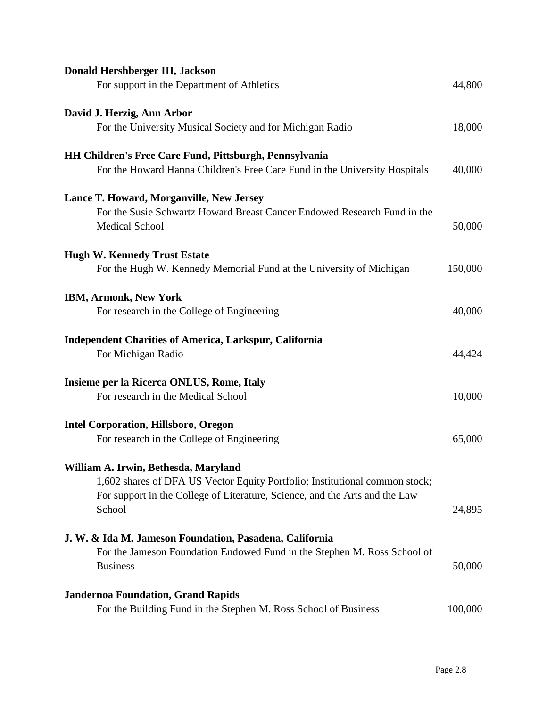| Donald Hershberger III, Jackson                                                                                                                            |         |
|------------------------------------------------------------------------------------------------------------------------------------------------------------|---------|
| For support in the Department of Athletics                                                                                                                 | 44,800  |
| David J. Herzig, Ann Arbor                                                                                                                                 |         |
| For the University Musical Society and for Michigan Radio                                                                                                  | 18,000  |
| <b>HH Children's Free Care Fund, Pittsburgh, Pennsylvania</b>                                                                                              |         |
| For the Howard Hanna Children's Free Care Fund in the University Hospitals                                                                                 | 40,000  |
| Lance T. Howard, Morganville, New Jersey                                                                                                                   |         |
| For the Susie Schwartz Howard Breast Cancer Endowed Research Fund in the<br><b>Medical School</b>                                                          | 50,000  |
| <b>Hugh W. Kennedy Trust Estate</b>                                                                                                                        |         |
| For the Hugh W. Kennedy Memorial Fund at the University of Michigan                                                                                        | 150,000 |
| <b>IBM, Armonk, New York</b>                                                                                                                               |         |
| For research in the College of Engineering                                                                                                                 | 40,000  |
| <b>Independent Charities of America, Larkspur, California</b><br>For Michigan Radio                                                                        | 44,424  |
| Insieme per la Ricerca ONLUS, Rome, Italy                                                                                                                  |         |
| For research in the Medical School                                                                                                                         | 10,000  |
| <b>Intel Corporation, Hillsboro, Oregon</b>                                                                                                                |         |
| For research in the College of Engineering                                                                                                                 | 65,000  |
| William A. Irwin, Bethesda, Maryland                                                                                                                       |         |
| 1,602 shares of DFA US Vector Equity Portfolio; Institutional common stock;<br>For support in the College of Literature, Science, and the Arts and the Law |         |
| School                                                                                                                                                     | 24,895  |
| J. W. & Ida M. Jameson Foundation, Pasadena, California                                                                                                    |         |
| For the Jameson Foundation Endowed Fund in the Stephen M. Ross School of<br><b>Business</b>                                                                | 50,000  |
|                                                                                                                                                            |         |
| <b>Jandernoa Foundation, Grand Rapids</b><br>For the Building Fund in the Stephen M. Ross School of Business                                               | 100,000 |
|                                                                                                                                                            |         |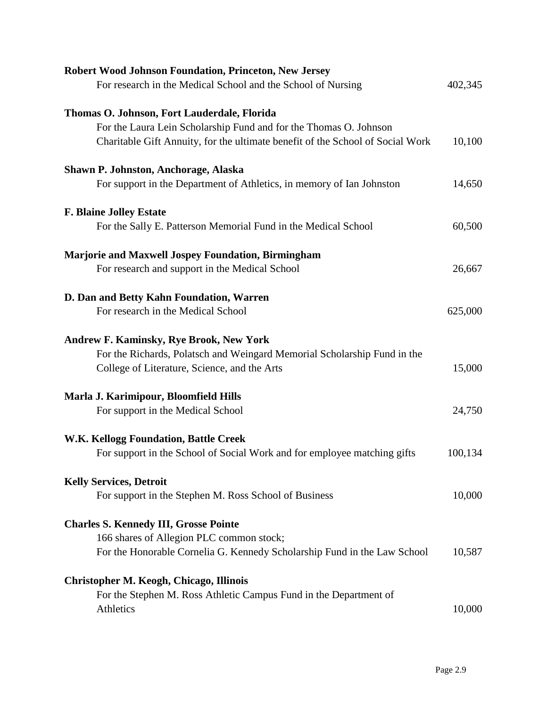| <b>Robert Wood Johnson Foundation, Princeton, New Jersey</b>                   |         |
|--------------------------------------------------------------------------------|---------|
| For research in the Medical School and the School of Nursing                   | 402,345 |
| Thomas O. Johnson, Fort Lauderdale, Florida                                    |         |
|                                                                                |         |
| For the Laura Lein Scholarship Fund and for the Thomas O. Johnson              |         |
| Charitable Gift Annuity, for the ultimate benefit of the School of Social Work | 10,100  |
| Shawn P. Johnston, Anchorage, Alaska                                           |         |
|                                                                                |         |
| For support in the Department of Athletics, in memory of Ian Johnston          | 14,650  |
| <b>F. Blaine Jolley Estate</b>                                                 |         |
| For the Sally E. Patterson Memorial Fund in the Medical School                 | 60,500  |
|                                                                                |         |
| <b>Marjorie and Maxwell Jospey Foundation, Birmingham</b>                      |         |
| For research and support in the Medical School                                 | 26,667  |
|                                                                                |         |
| D. Dan and Betty Kahn Foundation, Warren                                       |         |
| For research in the Medical School                                             | 625,000 |
|                                                                                |         |
| <b>Andrew F. Kaminsky, Rye Brook, New York</b>                                 |         |
| For the Richards, Polatsch and Weingard Memorial Scholarship Fund in the       |         |
| College of Literature, Science, and the Arts                                   | 15,000  |
|                                                                                |         |
| Marla J. Karimipour, Bloomfield Hills                                          |         |
| For support in the Medical School                                              | 24,750  |
|                                                                                |         |
| W.K. Kellogg Foundation, Battle Creek                                          |         |
| For support in the School of Social Work and for employee matching gifts       | 100,134 |
|                                                                                |         |
| <b>Kelly Services, Detroit</b>                                                 |         |
| For support in the Stephen M. Ross School of Business                          | 10,000  |
|                                                                                |         |
| <b>Charles S. Kennedy III, Grosse Pointe</b>                                   |         |
| 166 shares of Allegion PLC common stock;                                       |         |
| For the Honorable Cornelia G. Kennedy Scholarship Fund in the Law School       | 10,587  |
|                                                                                |         |
| <b>Christopher M. Keogh, Chicago, Illinois</b>                                 |         |
| For the Stephen M. Ross Athletic Campus Fund in the Department of              |         |
| Athletics                                                                      | 10,000  |
|                                                                                |         |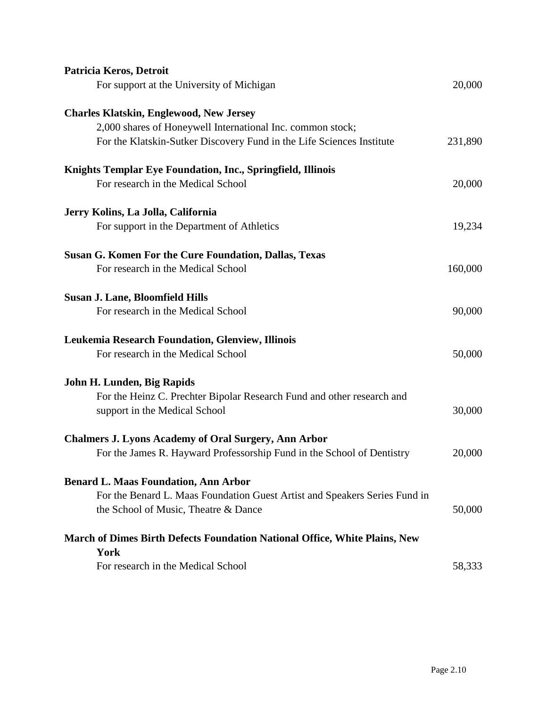| Patricia Keros, Detroit                                                           |         |
|-----------------------------------------------------------------------------------|---------|
| For support at the University of Michigan                                         | 20,000  |
| <b>Charles Klatskin, Englewood, New Jersey</b>                                    |         |
| 2,000 shares of Honeywell International Inc. common stock;                        |         |
| For the Klatskin-Sutker Discovery Fund in the Life Sciences Institute             | 231,890 |
| Knights Templar Eye Foundation, Inc., Springfield, Illinois                       |         |
| For research in the Medical School                                                | 20,000  |
| Jerry Kolins, La Jolla, California                                                |         |
| For support in the Department of Athletics                                        | 19,234  |
| <b>Susan G. Komen For the Cure Foundation, Dallas, Texas</b>                      |         |
| For research in the Medical School                                                | 160,000 |
| Susan J. Lane, Bloomfield Hills                                                   |         |
| For research in the Medical School                                                | 90,000  |
| Leukemia Research Foundation, Glenview, Illinois                                  |         |
| For research in the Medical School                                                | 50,000  |
| John H. Lunden, Big Rapids                                                        |         |
| For the Heinz C. Prechter Bipolar Research Fund and other research and            |         |
| support in the Medical School                                                     | 30,000  |
| <b>Chalmers J. Lyons Academy of Oral Surgery, Ann Arbor</b>                       |         |
| For the James R. Hayward Professorship Fund in the School of Dentistry            | 20,000  |
| <b>Benard L. Maas Foundation, Ann Arbor</b>                                       |         |
| For the Benard L. Maas Foundation Guest Artist and Speakers Series Fund in        |         |
| the School of Music, Theatre & Dance                                              | 50,000  |
| <b>March of Dimes Birth Defects Foundation National Office, White Plains, New</b> |         |
| York                                                                              |         |
| For research in the Medical School                                                | 58,333  |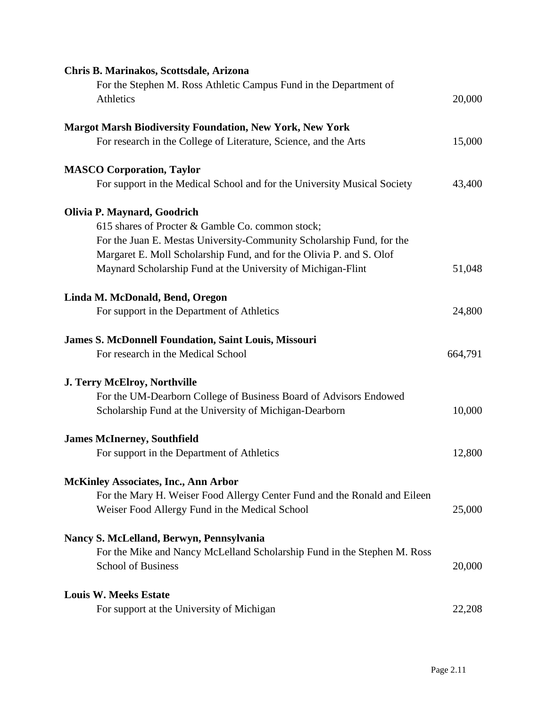| Chris B. Marinakos, Scottsdale, Arizona                                   |         |
|---------------------------------------------------------------------------|---------|
| For the Stephen M. Ross Athletic Campus Fund in the Department of         |         |
| Athletics                                                                 | 20,000  |
|                                                                           |         |
| <b>Margot Marsh Biodiversity Foundation, New York, New York</b>           |         |
| For research in the College of Literature, Science, and the Arts          | 15,000  |
| <b>MASCO Corporation, Taylor</b>                                          |         |
| For support in the Medical School and for the University Musical Society  | 43,400  |
| Olivia P. Maynard, Goodrich                                               |         |
| 615 shares of Procter & Gamble Co. common stock;                          |         |
| For the Juan E. Mestas University-Community Scholarship Fund, for the     |         |
| Margaret E. Moll Scholarship Fund, and for the Olivia P. and S. Olof      |         |
| Maynard Scholarship Fund at the University of Michigan-Flint              | 51,048  |
|                                                                           |         |
| Linda M. McDonald, Bend, Oregon                                           |         |
| For support in the Department of Athletics                                | 24,800  |
| <b>James S. McDonnell Foundation, Saint Louis, Missouri</b>               |         |
| For research in the Medical School                                        | 664,791 |
|                                                                           |         |
| <b>J. Terry McElroy, Northville</b>                                       |         |
| For the UM-Dearborn College of Business Board of Advisors Endowed         |         |
| Scholarship Fund at the University of Michigan-Dearborn                   | 10,000  |
| <b>James McInerney, Southfield</b>                                        |         |
| For support in the Department of Athletics                                | 12,800  |
| <b>McKinley Associates, Inc., Ann Arbor</b>                               |         |
| For the Mary H. Weiser Food Allergy Center Fund and the Ronald and Eileen |         |
| Weiser Food Allergy Fund in the Medical School                            | 25,000  |
| Nancy S. McLelland, Berwyn, Pennsylvania                                  |         |
| For the Mike and Nancy McLelland Scholarship Fund in the Stephen M. Ross  |         |
| <b>School of Business</b>                                                 | 20,000  |
|                                                                           |         |
| <b>Louis W. Meeks Estate</b>                                              |         |
| For support at the University of Michigan                                 | 22,208  |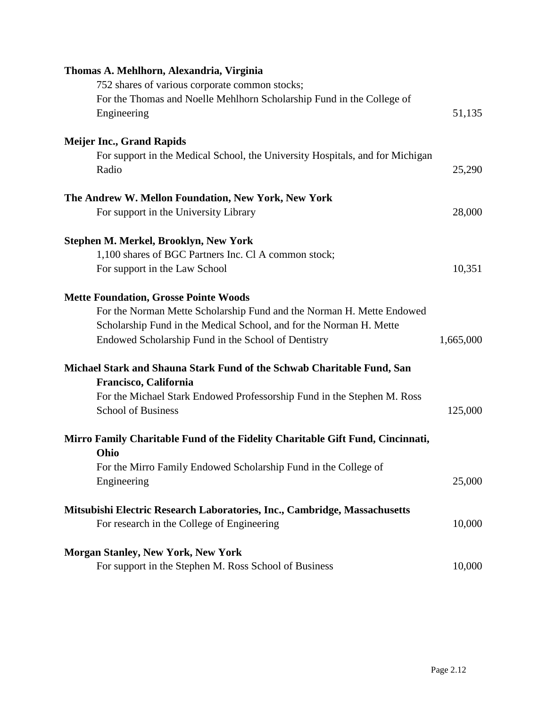| Thomas A. Mehlhorn, Alexandria, Virginia                                       |           |
|--------------------------------------------------------------------------------|-----------|
| 752 shares of various corporate common stocks;                                 |           |
| For the Thomas and Noelle Mehlhorn Scholarship Fund in the College of          |           |
| Engineering                                                                    | 51,135    |
| <b>Meijer Inc., Grand Rapids</b>                                               |           |
| For support in the Medical School, the University Hospitals, and for Michigan  |           |
| Radio                                                                          | 25,290    |
| The Andrew W. Mellon Foundation, New York, New York                            |           |
| For support in the University Library                                          | 28,000    |
| Stephen M. Merkel, Brooklyn, New York                                          |           |
| 1,100 shares of BGC Partners Inc. Cl A common stock;                           |           |
| For support in the Law School                                                  | 10,351    |
| <b>Mette Foundation, Grosse Pointe Woods</b>                                   |           |
| For the Norman Mette Scholarship Fund and the Norman H. Mette Endowed          |           |
| Scholarship Fund in the Medical School, and for the Norman H. Mette            |           |
| Endowed Scholarship Fund in the School of Dentistry                            | 1,665,000 |
| Michael Stark and Shauna Stark Fund of the Schwab Charitable Fund, San         |           |
| Francisco, California                                                          |           |
| For the Michael Stark Endowed Professorship Fund in the Stephen M. Ross        |           |
| <b>School of Business</b>                                                      | 125,000   |
| Mirro Family Charitable Fund of the Fidelity Charitable Gift Fund, Cincinnati, |           |
| Ohio                                                                           |           |
| For the Mirro Family Endowed Scholarship Fund in the College of                |           |
| Engineering                                                                    | 25,000    |
| Mitsubishi Electric Research Laboratories, Inc., Cambridge, Massachusetts      |           |
| For research in the College of Engineering                                     | 10,000    |
| <b>Morgan Stanley, New York, New York</b>                                      |           |
| For support in the Stephen M. Ross School of Business                          | 10,000    |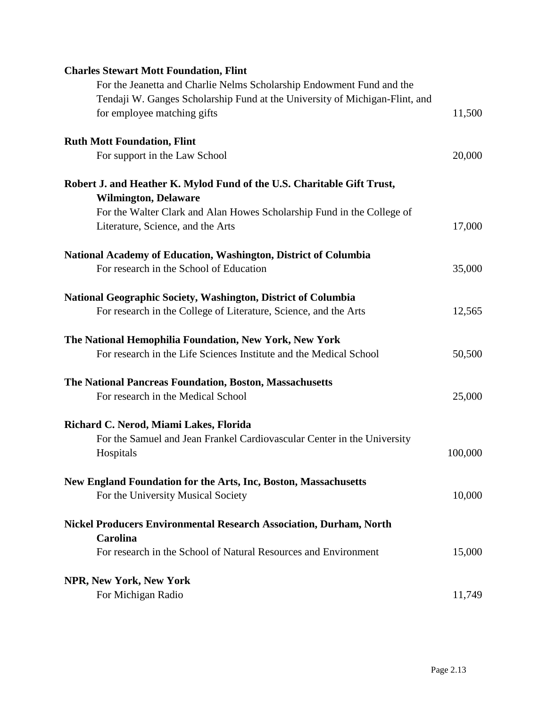| <b>Charles Stewart Mott Foundation, Flint</b>                               |         |
|-----------------------------------------------------------------------------|---------|
| For the Jeanetta and Charlie Nelms Scholarship Endowment Fund and the       |         |
| Tendaji W. Ganges Scholarship Fund at the University of Michigan-Flint, and |         |
| for employee matching gifts                                                 | 11,500  |
| <b>Ruth Mott Foundation, Flint</b>                                          |         |
| For support in the Law School                                               | 20,000  |
| Robert J. and Heather K. Mylod Fund of the U.S. Charitable Gift Trust,      |         |
| <b>Wilmington, Delaware</b>                                                 |         |
| For the Walter Clark and Alan Howes Scholarship Fund in the College of      |         |
| Literature, Science, and the Arts                                           | 17,000  |
| National Academy of Education, Washington, District of Columbia             |         |
| For research in the School of Education                                     | 35,000  |
| National Geographic Society, Washington, District of Columbia               |         |
| For research in the College of Literature, Science, and the Arts            | 12,565  |
| The National Hemophilia Foundation, New York, New York                      |         |
| For research in the Life Sciences Institute and the Medical School          | 50,500  |
| The National Pancreas Foundation, Boston, Massachusetts                     |         |
| For research in the Medical School                                          | 25,000  |
| Richard C. Nerod, Miami Lakes, Florida                                      |         |
| For the Samuel and Jean Frankel Cardiovascular Center in the University     |         |
| Hospitals                                                                   | 100,000 |
| New England Foundation for the Arts, Inc, Boston, Massachusetts             |         |
| For the University Musical Society                                          | 10,000  |
| <b>Nickel Producers Environmental Research Association, Durham, North</b>   |         |
| <b>Carolina</b>                                                             |         |
| For research in the School of Natural Resources and Environment             | 15,000  |
| <b>NPR, New York, New York</b>                                              |         |
| For Michigan Radio                                                          | 11,749  |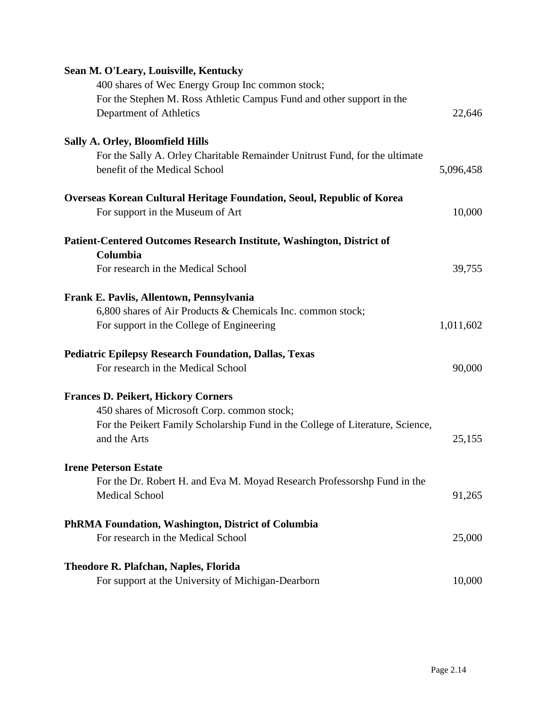| Sean M. O'Leary, Louisville, Kentucky                                          |           |
|--------------------------------------------------------------------------------|-----------|
| 400 shares of Wec Energy Group Inc common stock;                               |           |
| For the Stephen M. Ross Athletic Campus Fund and other support in the          |           |
| Department of Athletics                                                        | 22,646    |
| <b>Sally A. Orley, Bloomfield Hills</b>                                        |           |
| For the Sally A. Orley Charitable Remainder Unitrust Fund, for the ultimate    |           |
| benefit of the Medical School                                                  | 5,096,458 |
| <b>Overseas Korean Cultural Heritage Foundation, Seoul, Republic of Korea</b>  |           |
| For support in the Museum of Art                                               | 10,000    |
| Patient-Centered Outcomes Research Institute, Washington, District of          |           |
| Columbia                                                                       |           |
| For research in the Medical School                                             | 39,755    |
| Frank E. Pavlis, Allentown, Pennsylvania                                       |           |
| 6,800 shares of Air Products & Chemicals Inc. common stock;                    |           |
| For support in the College of Engineering                                      | 1,011,602 |
| <b>Pediatric Epilepsy Research Foundation, Dallas, Texas</b>                   |           |
| For research in the Medical School                                             | 90,000    |
| <b>Frances D. Peikert, Hickory Corners</b>                                     |           |
| 450 shares of Microsoft Corp. common stock;                                    |           |
| For the Peikert Family Scholarship Fund in the College of Literature, Science, |           |
| and the Arts                                                                   | 25,155    |
| <b>Irene Peterson Estate</b>                                                   |           |
| For the Dr. Robert H. and Eva M. Moyad Research Professorshp Fund in the       |           |
| <b>Medical School</b>                                                          | 91,265    |
| <b>PhRMA Foundation, Washington, District of Columbia</b>                      |           |
| For research in the Medical School                                             | 25,000    |
| <b>Theodore R. Plafchan, Naples, Florida</b>                                   |           |
| For support at the University of Michigan-Dearborn                             | 10,000    |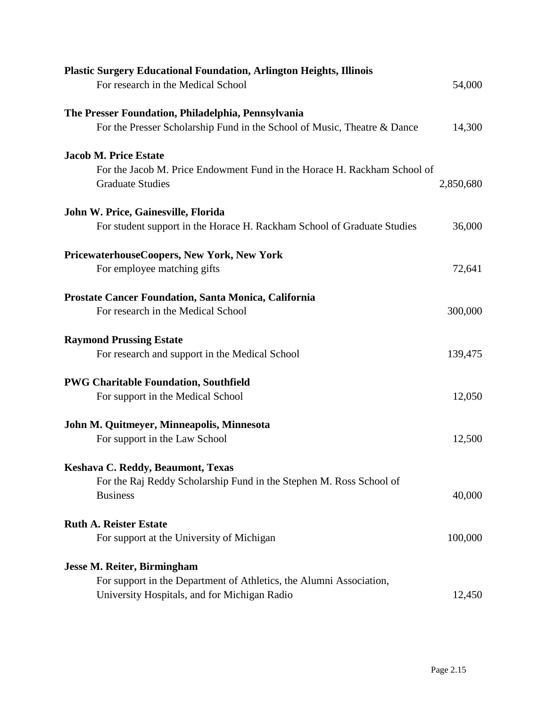| <b>Plastic Surgery Educational Foundation, Arlington Heights, Illinois</b><br>For research in the Medical School                                          | 54,000    |
|-----------------------------------------------------------------------------------------------------------------------------------------------------------|-----------|
| The Presser Foundation, Philadelphia, Pennsylvania<br>For the Presser Scholarship Fund in the School of Music, Theatre & Dance                            | 14,300    |
| <b>Jacob M. Price Estate</b><br>For the Jacob M. Price Endowment Fund in the Horace H. Rackham School of<br><b>Graduate Studies</b>                       | 2,850,680 |
| John W. Price, Gainesville, Florida<br>For student support in the Horace H. Rackham School of Graduate Studies                                            | 36,000    |
| PricewaterhouseCoopers, New York, New York<br>For employee matching gifts                                                                                 | 72,641    |
| Prostate Cancer Foundation, Santa Monica, California<br>For research in the Medical School                                                                | 300,000   |
| <b>Raymond Prussing Estate</b><br>For research and support in the Medical School                                                                          | 139,475   |
| <b>PWG Charitable Foundation, Southfield</b><br>For support in the Medical School                                                                         | 12,050    |
| John M. Quitmeyer, Minneapolis, Minnesota<br>For support in the Law School                                                                                | 12,500    |
| Keshava C. Reddy, Beaumont, Texas<br>For the Raj Reddy Scholarship Fund in the Stephen M. Ross School of<br><b>Business</b>                               | 40,000    |
| <b>Ruth A. Reister Estate</b><br>For support at the University of Michigan                                                                                | 100,000   |
| <b>Jesse M. Reiter, Birmingham</b><br>For support in the Department of Athletics, the Alumni Association,<br>University Hospitals, and for Michigan Radio | 12,450    |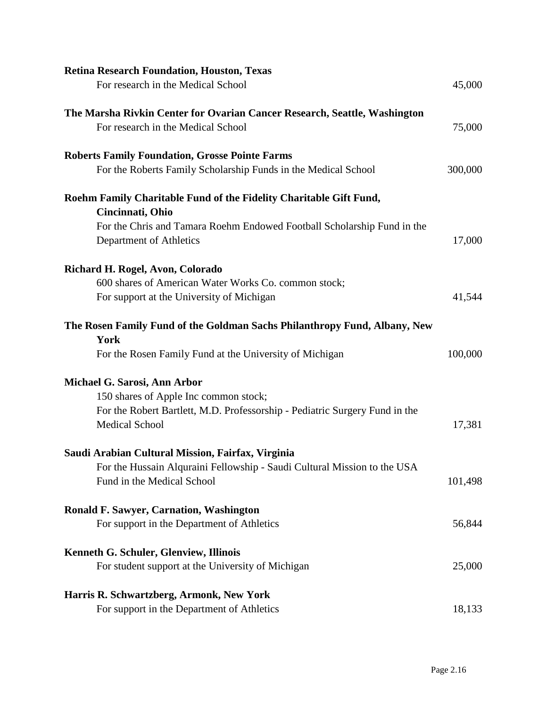| <b>Retina Research Foundation, Houston, Texas</b>                                                  |         |
|----------------------------------------------------------------------------------------------------|---------|
| For research in the Medical School                                                                 | 45,000  |
| The Marsha Rivkin Center for Ovarian Cancer Research, Seattle, Washington                          |         |
| For research in the Medical School                                                                 | 75,000  |
| <b>Roberts Family Foundation, Grosse Pointe Farms</b>                                              |         |
| For the Roberts Family Scholarship Funds in the Medical School                                     | 300,000 |
| Roehm Family Charitable Fund of the Fidelity Charitable Gift Fund,<br>Cincinnati, Ohio             |         |
| For the Chris and Tamara Roehm Endowed Football Scholarship Fund in the<br>Department of Athletics | 17,000  |
| Richard H. Rogel, Avon, Colorado                                                                   |         |
| 600 shares of American Water Works Co. common stock;                                               |         |
| For support at the University of Michigan                                                          | 41,544  |
| The Rosen Family Fund of the Goldman Sachs Philanthropy Fund, Albany, New<br>York                  |         |
| For the Rosen Family Fund at the University of Michigan                                            | 100,000 |
| Michael G. Sarosi, Ann Arbor                                                                       |         |
| 150 shares of Apple Inc common stock;                                                              |         |
| For the Robert Bartlett, M.D. Professorship - Pediatric Surgery Fund in the                        |         |
| <b>Medical School</b>                                                                              | 17,381  |
| Saudi Arabian Cultural Mission, Fairfax, Virginia                                                  |         |
| For the Hussain Alquraini Fellowship - Saudi Cultural Mission to the USA                           |         |
| Fund in the Medical School                                                                         | 101,498 |
| <b>Ronald F. Sawyer, Carnation, Washington</b>                                                     |         |
| For support in the Department of Athletics                                                         | 56,844  |
| Kenneth G. Schuler, Glenview, Illinois                                                             |         |
| For student support at the University of Michigan                                                  | 25,000  |
| Harris R. Schwartzberg, Armonk, New York                                                           |         |
| For support in the Department of Athletics                                                         | 18,133  |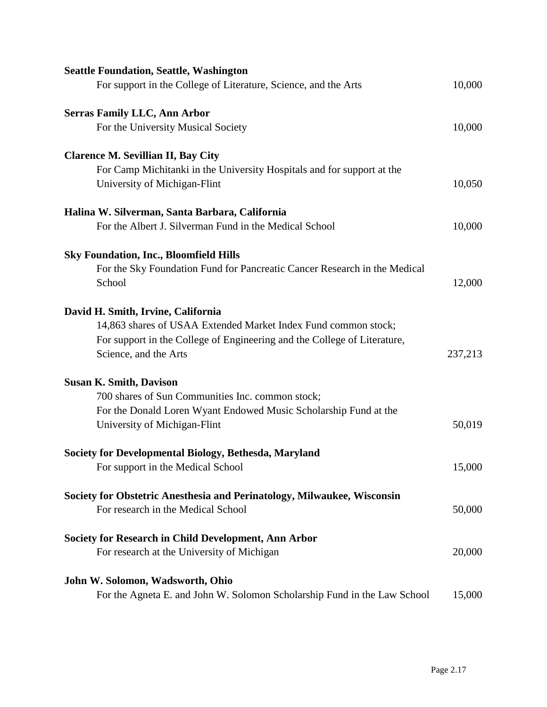| <b>Seattle Foundation, Seattle, Washington</b>                            |         |
|---------------------------------------------------------------------------|---------|
| For support in the College of Literature, Science, and the Arts           | 10,000  |
| <b>Serras Family LLC, Ann Arbor</b>                                       |         |
| For the University Musical Society                                        | 10,000  |
| <b>Clarence M. Sevillian II, Bay City</b>                                 |         |
| For Camp Michitanki in the University Hospitals and for support at the    |         |
| University of Michigan-Flint                                              | 10,050  |
| Halina W. Silverman, Santa Barbara, California                            |         |
| For the Albert J. Silverman Fund in the Medical School                    | 10,000  |
| <b>Sky Foundation, Inc., Bloomfield Hills</b>                             |         |
| For the Sky Foundation Fund for Pancreatic Cancer Research in the Medical |         |
| School                                                                    | 12,000  |
| David H. Smith, Irvine, California                                        |         |
| 14,863 shares of USAA Extended Market Index Fund common stock;            |         |
| For support in the College of Engineering and the College of Literature,  |         |
| Science, and the Arts                                                     | 237,213 |
| <b>Susan K. Smith, Davison</b>                                            |         |
| 700 shares of Sun Communities Inc. common stock;                          |         |
| For the Donald Loren Wyant Endowed Music Scholarship Fund at the          |         |
| University of Michigan-Flint                                              | 50,019  |
| Society for Developmental Biology, Bethesda, Maryland                     |         |
| For support in the Medical School                                         | 15,000  |
| Society for Obstetric Anesthesia and Perinatology, Milwaukee, Wisconsin   |         |
| For research in the Medical School                                        | 50,000  |
| <b>Society for Research in Child Development, Ann Arbor</b>               |         |
| For research at the University of Michigan                                | 20,000  |
| John W. Solomon, Wadsworth, Ohio                                          |         |
| For the Agneta E. and John W. Solomon Scholarship Fund in the Law School  | 15,000  |
|                                                                           |         |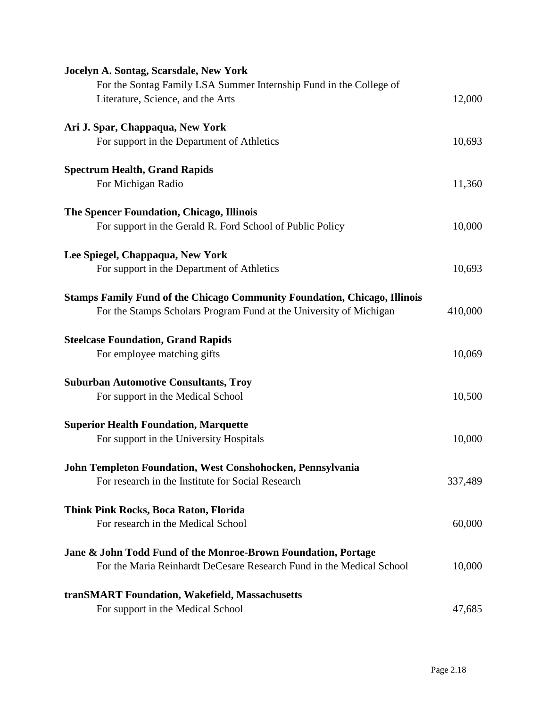| Jocelyn A. Sontag, Scarsdale, New York                                           |         |
|----------------------------------------------------------------------------------|---------|
| For the Sontag Family LSA Summer Internship Fund in the College of               |         |
| Literature, Science, and the Arts                                                | 12,000  |
| Ari J. Spar, Chappaqua, New York                                                 |         |
| For support in the Department of Athletics                                       | 10,693  |
| <b>Spectrum Health, Grand Rapids</b>                                             |         |
| For Michigan Radio                                                               | 11,360  |
| The Spencer Foundation, Chicago, Illinois                                        |         |
| For support in the Gerald R. Ford School of Public Policy                        | 10,000  |
| Lee Spiegel, Chappaqua, New York                                                 |         |
| For support in the Department of Athletics                                       | 10,693  |
| <b>Stamps Family Fund of the Chicago Community Foundation, Chicago, Illinois</b> |         |
| For the Stamps Scholars Program Fund at the University of Michigan               | 410,000 |
| <b>Steelcase Foundation, Grand Rapids</b>                                        |         |
| For employee matching gifts                                                      | 10,069  |
| <b>Suburban Automotive Consultants, Troy</b>                                     |         |
| For support in the Medical School                                                | 10,500  |
| <b>Superior Health Foundation, Marquette</b>                                     |         |
| For support in the University Hospitals                                          | 10,000  |
| John Templeton Foundation, West Conshohocken, Pennsylvania                       |         |
| For research in the Institute for Social Research                                | 337,489 |
| Think Pink Rocks, Boca Raton, Florida                                            |         |
| For research in the Medical School                                               | 60,000  |
| Jane & John Todd Fund of the Monroe-Brown Foundation, Portage                    |         |
| For the Maria Reinhardt DeCesare Research Fund in the Medical School             | 10,000  |
| tranSMART Foundation, Wakefield, Massachusetts                                   |         |
| For support in the Medical School                                                | 47,685  |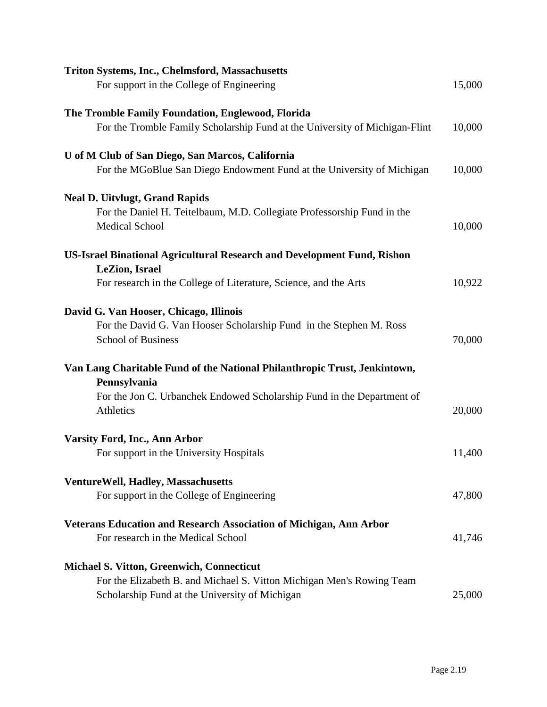| <b>Triton Systems, Inc., Chelmsford, Massachusetts</b>                                           |        |
|--------------------------------------------------------------------------------------------------|--------|
| For support in the College of Engineering                                                        | 15,000 |
| The Tromble Family Foundation, Englewood, Florida                                                |        |
| For the Tromble Family Scholarship Fund at the University of Michigan-Flint                      | 10,000 |
| U of M Club of San Diego, San Marcos, California                                                 |        |
| For the MGoBlue San Diego Endowment Fund at the University of Michigan                           | 10,000 |
| <b>Neal D. Uitvlugt, Grand Rapids</b>                                                            |        |
| For the Daniel H. Teitelbaum, M.D. Collegiate Professorship Fund in the<br><b>Medical School</b> | 10,000 |
| <b>US-Israel Binational Agricultural Research and Development Fund, Rishon</b>                   |        |
| LeZion, Israel                                                                                   |        |
| For research in the College of Literature, Science, and the Arts                                 | 10,922 |
| David G. Van Hooser, Chicago, Illinois                                                           |        |
| For the David G. Van Hooser Scholarship Fund in the Stephen M. Ross<br><b>School of Business</b> | 70,000 |
| Van Lang Charitable Fund of the National Philanthropic Trust, Jenkintown,                        |        |
| Pennsylvania                                                                                     |        |
| For the Jon C. Urbanchek Endowed Scholarship Fund in the Department of<br>Athletics              | 20,000 |
| Varsity Ford, Inc., Ann Arbor                                                                    |        |
| For support in the University Hospitals                                                          | 11,400 |
| <b>VentureWell, Hadley, Massachusetts</b>                                                        |        |
| For support in the College of Engineering                                                        | 47,800 |
| <b>Veterans Education and Research Association of Michigan, Ann Arbor</b>                        |        |
| For research in the Medical School                                                               | 41,746 |
| <b>Michael S. Vitton, Greenwich, Connecticut</b>                                                 |        |
| For the Elizabeth B. and Michael S. Vitton Michigan Men's Rowing Team                            |        |
| Scholarship Fund at the University of Michigan                                                   | 25,000 |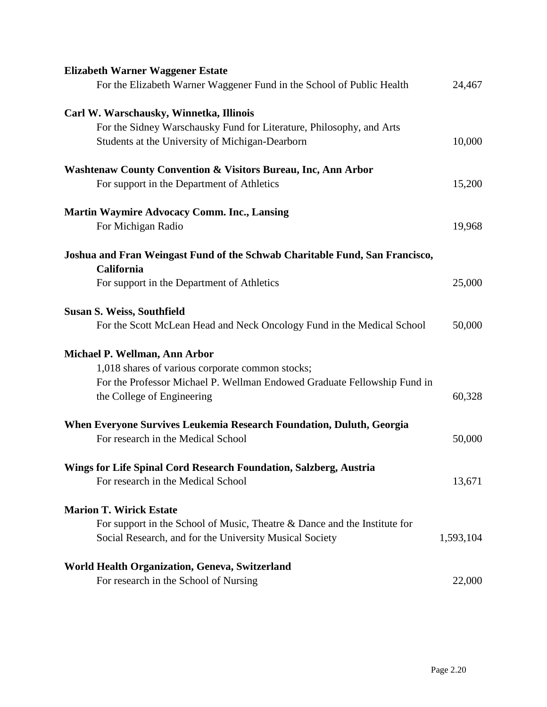| <b>Elizabeth Warner Waggener Estate</b>                                                   |           |
|-------------------------------------------------------------------------------------------|-----------|
| For the Elizabeth Warner Waggener Fund in the School of Public Health                     | 24,467    |
| Carl W. Warschausky, Winnetka, Illinois                                                   |           |
| For the Sidney Warschausky Fund for Literature, Philosophy, and Arts                      |           |
| Students at the University of Michigan-Dearborn                                           | 10,000    |
| <b>Washtenaw County Convention &amp; Visitors Bureau, Inc, Ann Arbor</b>                  |           |
| For support in the Department of Athletics                                                | 15,200    |
| <b>Martin Waymire Advocacy Comm. Inc., Lansing</b>                                        |           |
| For Michigan Radio                                                                        | 19,968    |
| Joshua and Fran Weingast Fund of the Schwab Charitable Fund, San Francisco,<br>California |           |
| For support in the Department of Athletics                                                | 25,000    |
| <b>Susan S. Weiss, Southfield</b>                                                         |           |
| For the Scott McLean Head and Neck Oncology Fund in the Medical School                    | 50,000    |
| Michael P. Wellman, Ann Arbor                                                             |           |
| 1,018 shares of various corporate common stocks;                                          |           |
| For the Professor Michael P. Wellman Endowed Graduate Fellowship Fund in                  |           |
| the College of Engineering                                                                | 60,328    |
| When Everyone Survives Leukemia Research Foundation, Duluth, Georgia                      |           |
| For research in the Medical School                                                        | 50,000    |
| Wings for Life Spinal Cord Research Foundation, Salzberg, Austria                         |           |
| For research in the Medical School                                                        | 13,671    |
| <b>Marion T. Wirick Estate</b>                                                            |           |
| For support in the School of Music, Theatre & Dance and the Institute for                 |           |
| Social Research, and for the University Musical Society                                   | 1,593,104 |
| <b>World Health Organization, Geneva, Switzerland</b>                                     |           |
| For research in the School of Nursing                                                     | 22,000    |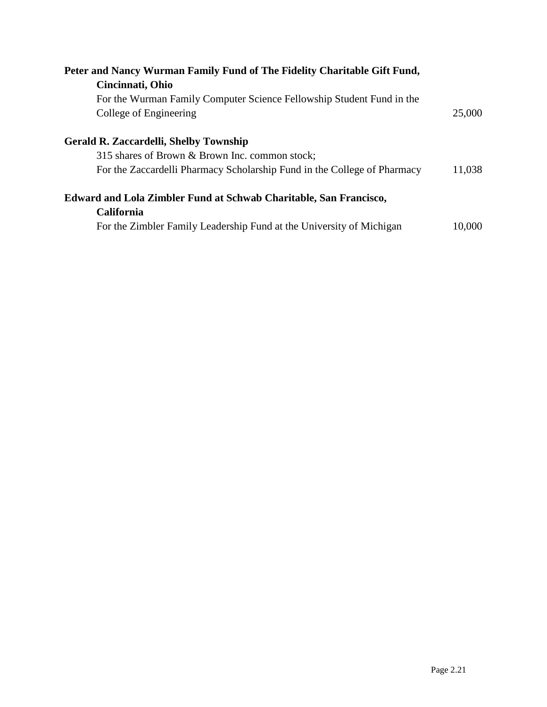| Peter and Nancy Wurman Family Fund of The Fidelity Charitable Gift Fund,<br>Cincinnati, Ohio                                                                                |        |
|-----------------------------------------------------------------------------------------------------------------------------------------------------------------------------|--------|
| For the Wurman Family Computer Science Fellowship Student Fund in the<br>College of Engineering                                                                             | 25,000 |
| <b>Gerald R. Zaccardelli, Shelby Township</b><br>315 shares of Brown & Brown Inc. common stock;<br>For the Zaccardelli Pharmacy Scholarship Fund in the College of Pharmacy | 11,038 |
| Edward and Lola Zimbler Fund at Schwab Charitable, San Francisco,<br><b>California</b><br>For the Zimbler Family Leadership Fund at the University of Michigan              | 10,000 |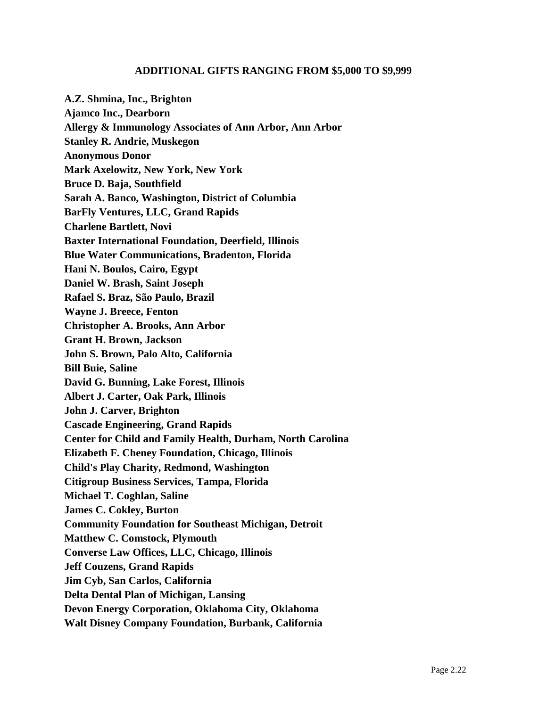## **ADDITIONAL GIFTS RANGING FROM \$5,000 TO \$9,999**

**A.Z. Shmina, Inc., Brighton Ajamco Inc., Dearborn Allergy & Immunology Associates of Ann Arbor, Ann Arbor Stanley R. Andrie, Muskegon Anonymous Donor Mark Axelowitz, New York, New York Bruce D. Baja, Southfield Sarah A. Banco, Washington, District of Columbia BarFly Ventures, LLC, Grand Rapids Charlene Bartlett, Novi Baxter International Foundation, Deerfield, Illinois Blue Water Communications, Bradenton, Florida Hani N. Boulos, Cairo, Egypt Daniel W. Brash, Saint Joseph Rafael S. Braz, São Paulo, Brazil Wayne J. Breece, Fenton Christopher A. Brooks, Ann Arbor Grant H. Brown, Jackson John S. Brown, Palo Alto, California Bill Buie, Saline David G. Bunning, Lake Forest, Illinois Albert J. Carter, Oak Park, Illinois John J. Carver, Brighton Cascade Engineering, Grand Rapids Center for Child and Family Health, Durham, North Carolina Elizabeth F. Cheney Foundation, Chicago, Illinois Child's Play Charity, Redmond, Washington Citigroup Business Services, Tampa, Florida Michael T. Coghlan, Saline James C. Cokley, Burton Community Foundation for Southeast Michigan, Detroit Matthew C. Comstock, Plymouth Converse Law Offices, LLC, Chicago, Illinois Jeff Couzens, Grand Rapids Jim Cyb, San Carlos, California Delta Dental Plan of Michigan, Lansing Devon Energy Corporation, Oklahoma City, Oklahoma Walt Disney Company Foundation, Burbank, California**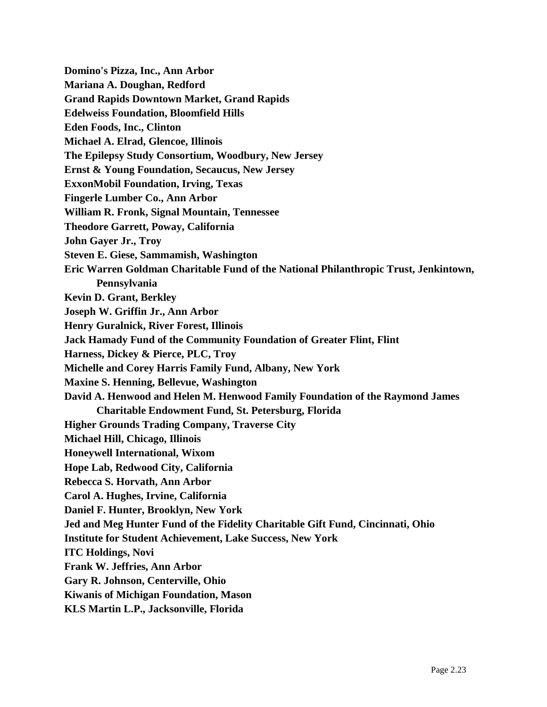**Domino's Pizza, Inc., Ann Arbor Mariana A. Doughan, Redford Grand Rapids Downtown Market, Grand Rapids Edelweiss Foundation, Bloomfield Hills Eden Foods, Inc., Clinton Michael A. Elrad, Glencoe, Illinois The Epilepsy Study Consortium, Woodbury, New Jersey Ernst & Young Foundation, Secaucus, New Jersey ExxonMobil Foundation, Irving, Texas Fingerle Lumber Co., Ann Arbor William R. Fronk, Signal Mountain, Tennessee Theodore Garrett, Poway, California John Gayer Jr., Troy Steven E. Giese, Sammamish, Washington Eric Warren Goldman Charitable Fund of the National Philanthropic Trust, Jenkintown, Pennsylvania Kevin D. Grant, Berkley Joseph W. Griffin Jr., Ann Arbor Henry Guralnick, River Forest, Illinois Jack Hamady Fund of the Community Foundation of Greater Flint, Flint Harness, Dickey & Pierce, PLC, Troy Michelle and Corey Harris Family Fund, Albany, New York Maxine S. Henning, Bellevue, Washington David A. Henwood and Helen M. Henwood Family Foundation of the Raymond James Charitable Endowment Fund, St. Petersburg, Florida Higher Grounds Trading Company, Traverse City Michael Hill, Chicago, Illinois Honeywell International, Wixom Hope Lab, Redwood City, California Rebecca S. Horvath, Ann Arbor Carol A. Hughes, Irvine, California Daniel F. Hunter, Brooklyn, New York Jed and Meg Hunter Fund of the Fidelity Charitable Gift Fund, Cincinnati, Ohio Institute for Student Achievement, Lake Success, New York ITC Holdings, Novi Frank W. Jeffries, Ann Arbor Gary R. Johnson, Centerville, Ohio Kiwanis of Michigan Foundation, Mason KLS Martin L.P., Jacksonville, Florida**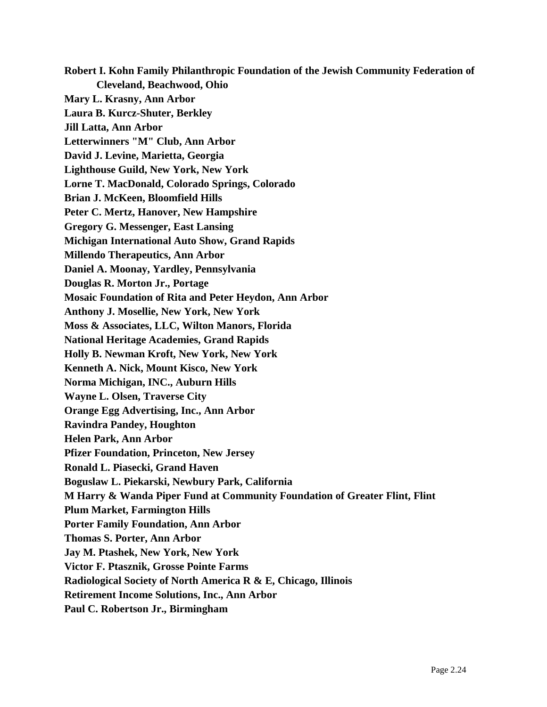**Robert I. Kohn Family Philanthropic Foundation of the Jewish Community Federation of Cleveland, Beachwood, Ohio Mary L. Krasny, Ann Arbor Laura B. Kurcz-Shuter, Berkley Jill Latta, Ann Arbor Letterwinners "M" Club, Ann Arbor David J. Levine, Marietta, Georgia Lighthouse Guild, New York, New York Lorne T. MacDonald, Colorado Springs, Colorado Brian J. McKeen, Bloomfield Hills Peter C. Mertz, Hanover, New Hampshire Gregory G. Messenger, East Lansing Michigan International Auto Show, Grand Rapids Millendo Therapeutics, Ann Arbor Daniel A. Moonay, Yardley, Pennsylvania Douglas R. Morton Jr., Portage Mosaic Foundation of Rita and Peter Heydon, Ann Arbor Anthony J. Mosellie, New York, New York Moss & Associates, LLC, Wilton Manors, Florida National Heritage Academies, Grand Rapids Holly B. Newman Kroft, New York, New York Kenneth A. Nick, Mount Kisco, New York Norma Michigan, INC., Auburn Hills Wayne L. Olsen, Traverse City Orange Egg Advertising, Inc., Ann Arbor Ravindra Pandey, Houghton Helen Park, Ann Arbor Pfizer Foundation, Princeton, New Jersey Ronald L. Piasecki, Grand Haven Boguslaw L. Piekarski, Newbury Park, California M Harry & Wanda Piper Fund at Community Foundation of Greater Flint, Flint Plum Market, Farmington Hills Porter Family Foundation, Ann Arbor Thomas S. Porter, Ann Arbor Jay M. Ptashek, New York, New York Victor F. Ptasznik, Grosse Pointe Farms Radiological Society of North America R & E, Chicago, Illinois Retirement Income Solutions, Inc., Ann Arbor Paul C. Robertson Jr., Birmingham**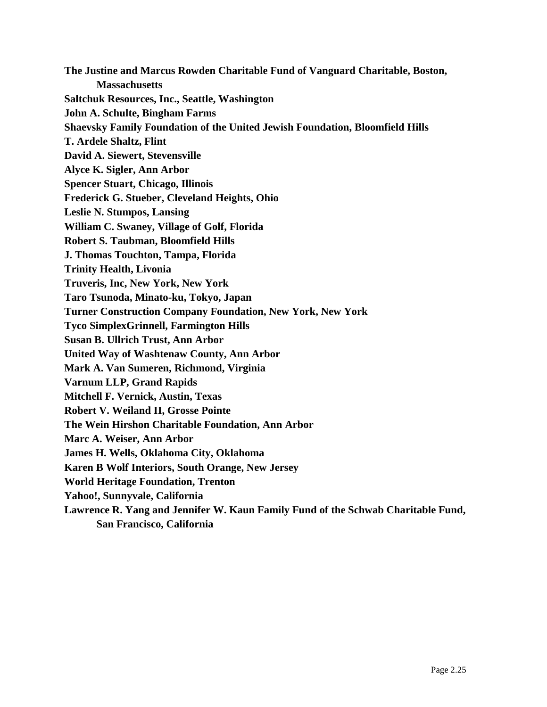**The Justine and Marcus Rowden Charitable Fund of Vanguard Charitable, Boston, Massachusetts Saltchuk Resources, Inc., Seattle, Washington John A. Schulte, Bingham Farms Shaevsky Family Foundation of the United Jewish Foundation, Bloomfield Hills T. Ardele Shaltz, Flint David A. Siewert, Stevensville Alyce K. Sigler, Ann Arbor Spencer Stuart, Chicago, Illinois Frederick G. Stueber, Cleveland Heights, Ohio Leslie N. Stumpos, Lansing William C. Swaney, Village of Golf, Florida Robert S. Taubman, Bloomfield Hills J. Thomas Touchton, Tampa, Florida Trinity Health, Livonia Truveris, Inc, New York, New York Taro Tsunoda, Minato-ku, Tokyo, Japan Turner Construction Company Foundation, New York, New York Tyco SimplexGrinnell, Farmington Hills Susan B. Ullrich Trust, Ann Arbor United Way of Washtenaw County, Ann Arbor Mark A. Van Sumeren, Richmond, Virginia Varnum LLP, Grand Rapids Mitchell F. Vernick, Austin, Texas Robert V. Weiland II, Grosse Pointe The Wein Hirshon Charitable Foundation, Ann Arbor Marc A. Weiser, Ann Arbor James H. Wells, Oklahoma City, Oklahoma Karen B Wolf Interiors, South Orange, New Jersey World Heritage Foundation, Trenton Yahoo!, Sunnyvale, California Lawrence R. Yang and Jennifer W. Kaun Family Fund of the Schwab Charitable Fund,** 

**San Francisco, California**